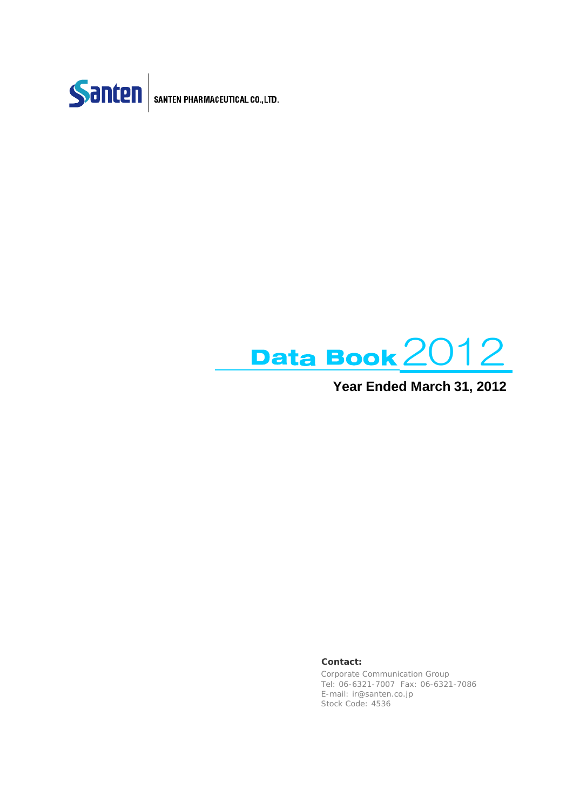

SANTEN PHARMACEUTICAL CO., LTD.



### **Year Ended March 31, 2012**

#### **Contact:**

Corporate Communication Group Tel: 06-6321-7007 Fax: 06-6321-7086 E-mail: ir@santen.co.jp Stock Code: 4536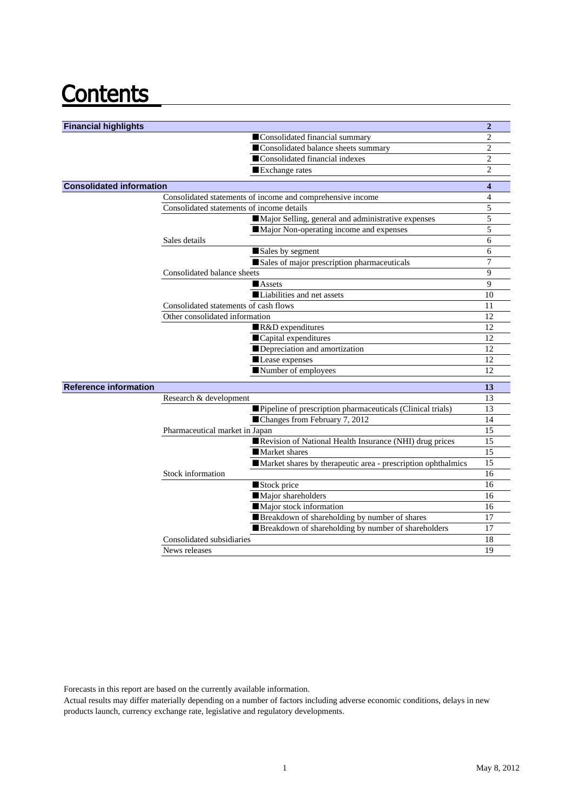# **Contents**

| <b>Financial highlights</b>     |                                                                            | $\overline{2}$               |
|---------------------------------|----------------------------------------------------------------------------|------------------------------|
|                                 | Consolidated financial summary                                             | $\overline{c}$               |
|                                 | Consolidated balance sheets summary                                        | 2                            |
|                                 | Consolidated financial indexes                                             | $\overline{c}$               |
|                                 | Exchange rates                                                             | $\overline{c}$               |
|                                 |                                                                            |                              |
| <b>Consolidated information</b> |                                                                            | $\overline{\mathbf{4}}$<br>4 |
|                                 | Consolidated statements of income and comprehensive income                 | 5                            |
|                                 | Consolidated statements of income details                                  |                              |
|                                 | Major Selling, general and administrative expenses                         | 5                            |
|                                 | Major Non-operating income and expenses                                    | 5<br>6                       |
|                                 | Sales details                                                              | 6                            |
|                                 | Sales by segment                                                           | 7                            |
|                                 | Sales of major prescription pharmaceuticals<br>Consolidated balance sheets | 9                            |
|                                 | <b>Assets</b>                                                              | 9                            |
|                                 | Liabilities and net assets                                                 | 10                           |
|                                 | Consolidated statements of cash flows                                      | 11                           |
|                                 | Other consolidated information                                             | 12                           |
|                                 | R&D expenditures                                                           | 12                           |
|                                 | Capital expenditures                                                       | 12                           |
|                                 | Depreciation and amortization                                              | 12                           |
|                                 | Lease expenses                                                             | 12                           |
|                                 | Number of employees                                                        | 12                           |
|                                 |                                                                            |                              |
| <b>Reference information</b>    |                                                                            | 13                           |
|                                 | Research & development                                                     | 13                           |
|                                 | Pipeline of prescription pharmaceuticals (Clinical trials)                 | 13                           |
|                                 | Changes from February 7, 2012                                              | 14                           |
|                                 | Pharmaceutical market in Japan                                             | 15                           |
|                                 | Revision of National Health Insurance (NHI) drug prices                    | 15                           |
|                                 | Market shares                                                              | 15                           |
|                                 | Market shares by therapeutic area - prescription ophthalmics               | 15                           |
|                                 | Stock information                                                          | 16                           |
|                                 | Stock price                                                                | 16                           |
|                                 | Major shareholders                                                         | 16                           |
|                                 | Major stock information                                                    | 16<br>17                     |
|                                 | Breakdown of shareholding by number of shares                              |                              |
|                                 | Breakdown of shareholding by number of shareholders                        | 17                           |
|                                 | Consolidated subsidiaries<br>News releases                                 | 18<br>19                     |
|                                 |                                                                            |                              |

Forecasts in this report are based on the currently available information.

Actual results may differ materially depending on a number of factors including adverse economic conditions, delays in new products launch, currency exchange rate, legislative and regulatory developments.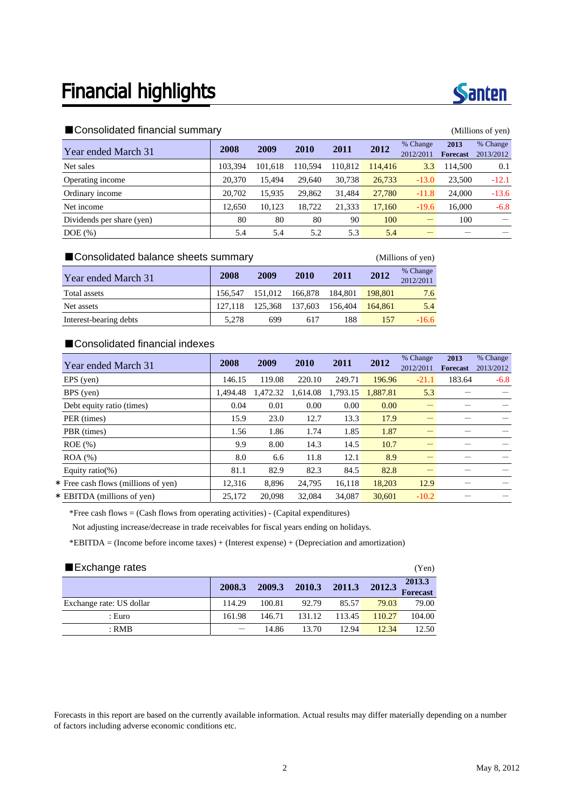

#### ■Consolidated financial summary (Millions of yen)

| Year ended March 31       | 2008    | 2009    | 2010    | 2011    | 2012    | % Change<br>2012/2011 | 2013<br><b>Forecast</b> | % Change<br>2013/2012 |
|---------------------------|---------|---------|---------|---------|---------|-----------------------|-------------------------|-----------------------|
| Net sales                 | 103.394 | 101.618 | 110.594 | 110.812 | 114,416 | 3.3                   | 114.500                 | 0.1                   |
| Operating income          | 20.370  | 15.494  | 29,640  | 30,738  | 26,733  | $-13.0$               | 23,500                  | $-12.1$               |
| Ordinary income           | 20.702  | 15.935  | 29,862  | 31.484  | 27,780  | $-11.8$               | 24,000                  | $-13.6$               |
| Net income                | 12,650  | 10.123  | 18,722  | 21,333  | 17,160  | $-19.6$               | 16.000                  | $-6.8$                |
| Dividends per share (yen) | 80      | 80      | 80      | 90      | 100     |                       | 100                     |                       |
| $DOE$ $(\%)$              | 5.4     | 5.4     | 5.2     | 5.3     | 5.4     |                       |                         |                       |

#### ■Consolidated balance sheets summary (Millions of yen)

**Year ended March 31 2008 2009 2010 2011 2012** <sup>% Change</sup> 2012/2011 Total assets 156,547 151,012 166,878 184,801 198,801 7.6 Net assets 127,118 125,368 137,603 156,404 164,861 5.4 Interest-bearing debts 5,278 699 617 188 157 -16.6

### ■Consolidated financial indexes

| Year ended March 31                 | 2008     | 2009     | 2010     | 2011     | 2012     | % Change<br>2012/2011 | 2013<br><b>Forecast</b> | % Change<br>2013/2012 |
|-------------------------------------|----------|----------|----------|----------|----------|-----------------------|-------------------------|-----------------------|
| EPS (yen)                           | 146.15   | 119.08   | 220.10   | 249.71   | 196.96   | $-21.1$               | 183.64                  | $-6.8$                |
| BPS (yen)                           | 1.494.48 | 1,472.32 | 1,614.08 | 1,793.15 | 1,887.81 | 5.3                   |                         |                       |
| Debt equity ratio (times)           | 0.04     | 0.01     | 0.00     | 0.00     | 0.00     |                       |                         |                       |
| PER (times)                         | 15.9     | 23.0     | 12.7     | 13.3     | 17.9     |                       |                         |                       |
| PBR (times)                         | 1.56     | 1.86     | 1.74     | 1.85     | 1.87     |                       |                         |                       |
| $ROE$ (%)                           | 9.9      | 8.00     | 14.3     | 14.5     | 10.7     |                       |                         |                       |
| $ROA (\%)$                          | 8.0      | 6.6      | 11.8     | 12.1     | 8.9      |                       |                         |                       |
| Equity ratio(%)                     | 81.1     | 82.9     | 82.3     | 84.5     | 82.8     |                       |                         |                       |
| * Free cash flows (millions of yen) | 12,316   | 8,896    | 24,795   | 16,118   | 18,203   | 12.9                  |                         |                       |
| * EBITDA (millions of yen)          | 25,172   | 20,098   | 32.084   | 34.087   | 30.601   | $-10.2$               |                         |                       |

\*Free cash flows = (Cash flows from operating activities) - (Capital expenditures)

Not adjusting increase/decrease in trade receivables for fiscal years ending on holidays.

\*EBITDA = (Income before income taxes) + (Interest expense) + (Depreciation and amortization)

| Exchange rates           |        |        |        |        |        | (Yen)              |
|--------------------------|--------|--------|--------|--------|--------|--------------------|
|                          | 2008.3 | 2009.3 | 2010.3 | 2011.3 | 2012.3 | 2013.3<br>Forecast |
| Exchange rate: US dollar | 114.29 | 100.81 | 92.79  | 85.57  | 79.03  | 79.00              |
| : Euro                   | 161.98 | 146.71 | 131.12 | 113.45 | 110.27 | 104.00             |
| $:$ RMB                  |        | 14.86  | 13.70  | 12.94  | 12.34  | 12.50              |

#### Forecasts in this report are based on the currently available information. Actual results may differ materially depending on a number of factors including adverse economic conditions etc.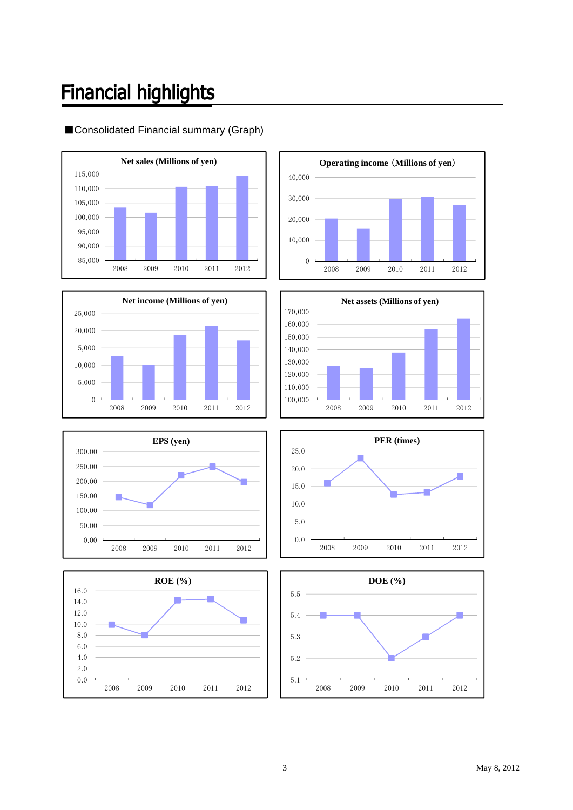# **Financial highlights**



### ■Consolidated Financial summary (Graph)













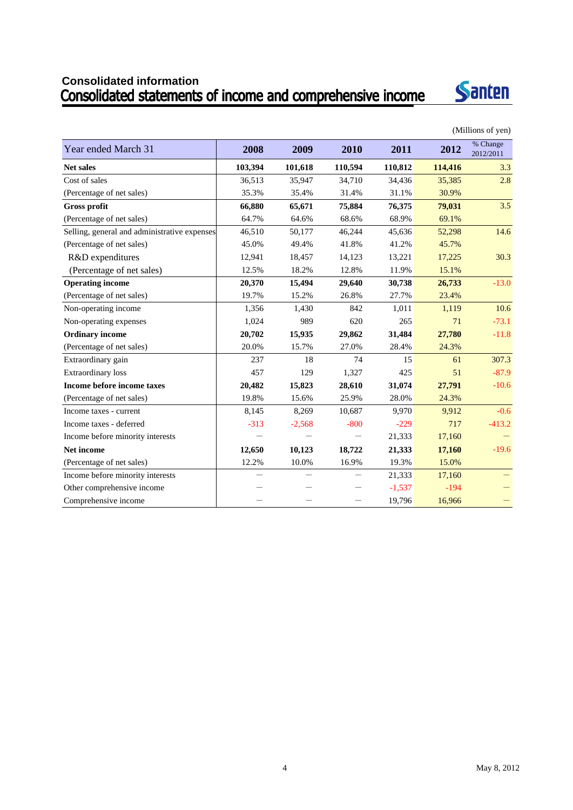# **Consolidated information**



|                                              |         |          |         |          |         | (Millions of yen)     |
|----------------------------------------------|---------|----------|---------|----------|---------|-----------------------|
| Year ended March 31                          | 2008    | 2009     | 2010    | 2011     | 2012    | % Change<br>2012/2011 |
| <b>Net sales</b>                             | 103,394 | 101,618  | 110,594 | 110,812  | 114,416 | 3.3                   |
| Cost of sales                                | 36,513  | 35,947   | 34,710  | 34,436   | 35,385  | 2.8                   |
| (Percentage of net sales)                    | 35.3%   | 35.4%    | 31.4%   | 31.1%    | 30.9%   |                       |
| <b>Gross profit</b>                          | 66,880  | 65,671   | 75,884  | 76,375   | 79,031  | 3.5                   |
| (Percentage of net sales)                    | 64.7%   | 64.6%    | 68.6%   | 68.9%    | 69.1%   |                       |
| Selling, general and administrative expenses | 46,510  | 50,177   | 46,244  | 45,636   | 52,298  | 14.6                  |
| (Percentage of net sales)                    | 45.0%   | 49.4%    | 41.8%   | 41.2%    | 45.7%   |                       |
| R&D expenditures                             | 12,941  | 18,457   | 14,123  | 13,221   | 17,225  | 30.3                  |
| (Percentage of net sales)                    | 12.5%   | 18.2%    | 12.8%   | 11.9%    | 15.1%   |                       |
| <b>Operating income</b>                      | 20,370  | 15,494   | 29,640  | 30,738   | 26,733  | $-13.0$               |
| (Percentage of net sales)                    | 19.7%   | 15.2%    | 26.8%   | 27.7%    | 23.4%   |                       |
| Non-operating income                         | 1,356   | 1,430    | 842     | 1,011    | 1,119   | 10.6                  |
| Non-operating expenses                       | 1,024   | 989      | 620     | 265      | 71      | $-73.1$               |
| <b>Ordinary income</b>                       | 20,702  | 15,935   | 29,862  | 31,484   | 27,780  | $-11.8$               |
| (Percentage of net sales)                    | 20.0%   | 15.7%    | 27.0%   | 28.4%    | 24.3%   |                       |
| Extraordinary gain                           | 237     | 18       | 74      | 15       | 61      | 307.3                 |
| Extraordinary loss                           | 457     | 129      | 1,327   | 425      | 51      | $-87.9$               |
| Income before income taxes                   | 20,482  | 15,823   | 28,610  | 31,074   | 27,791  | $-10.6$               |
| (Percentage of net sales)                    | 19.8%   | 15.6%    | 25.9%   | 28.0%    | 24.3%   |                       |
| Income taxes - current                       | 8,145   | 8,269    | 10,687  | 9,970    | 9,912   | $-0.6$                |
| Income taxes - deferred                      | $-313$  | $-2,568$ | $-800$  | $-229$   | 717     | $-413.2$              |
| Income before minority interests             |         |          |         | 21,333   | 17,160  |                       |
| Net income                                   | 12,650  | 10,123   | 18,722  | 21,333   | 17,160  | $-19.6$               |
| (Percentage of net sales)                    | 12.2%   | 10.0%    | 16.9%   | 19.3%    | 15.0%   |                       |
| Income before minority interests             |         |          |         | 21,333   | 17,160  |                       |
| Other comprehensive income                   |         |          |         | $-1,537$ | $-194$  |                       |
| Comprehensive income                         |         |          |         | 19,796   | 16,966  |                       |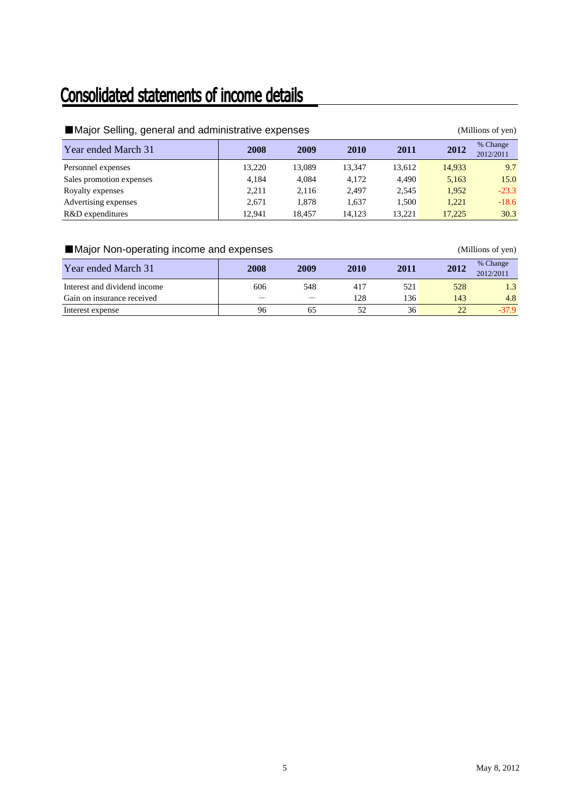## Consolidated statements of income details

| ■ Major Selling, general and administrative expenses |        |        |        |        |        | (Millions of yen)     |
|------------------------------------------------------|--------|--------|--------|--------|--------|-----------------------|
| Year ended March 31                                  | 2008   | 2009   | 2010   | 2011   | 2012   | % Change<br>2012/2011 |
| Personnel expenses                                   | 13.220 | 13,089 | 13.347 | 13,612 | 14,933 | 9.7                   |
| Sales promotion expenses                             | 4,184  | 4.084  | 4.172  | 4.490  | 5,163  | 15.0                  |
| Royalty expenses                                     | 2,211  | 2,116  | 2.497  | 2,545  | 1.952  | $-23.3$               |
| Advertising expenses                                 | 2.671  | 1.878  | 1.637  | 1,500  | 1.221  | $-18.6$               |
| R&D expenditures                                     | 12.941 | 18.457 | 14.123 | 13.221 | 17,225 | 30.3                  |

### ■Major Non-operating income and expenses (Millions of yen)

| Year ended March 31          | 2008 | 2009 | 2010 | 2011 | 2012 | % Change<br>2012/2011 |
|------------------------------|------|------|------|------|------|-----------------------|
| Interest and dividend income | 606  | 548  | 417  | 521  | 528  | 1.3                   |
| Gain on insurance received   |      |      | 128  | 136  | 143  | 4.8                   |
| Interest expense             | 96   | 60   |      | 36   | 22   | $-37.9$               |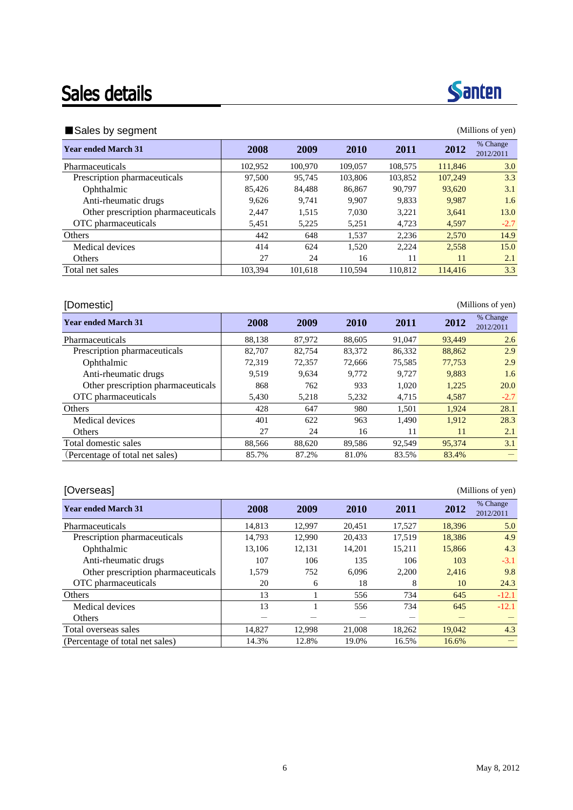### Sales details



#### ■Sales by segment (Millions of yen)

| <b>Year ended March 31</b>         | 2008    | 2009    | <b>2010</b> | 2011    | 2012    | % Change<br>2012/2011 |
|------------------------------------|---------|---------|-------------|---------|---------|-----------------------|
| Pharmaceuticals                    | 102.952 | 100.970 | 109,057     | 108,575 | 111,846 | 3.0                   |
| Prescription pharmaceuticals       | 97,500  | 95.745  | 103,806     | 103,852 | 107,249 | 3.3                   |
| Ophthalmic                         | 85.426  | 84.488  | 86,867      | 90.797  | 93.620  | 3.1                   |
| Anti-rheumatic drugs               | 9.626   | 9.741   | 9.907       | 9,833   | 9,987   | 1.6                   |
| Other prescription pharmaceuticals | 2.447   | 1.515   | 7.030       | 3.221   | 3.641   | 13.0                  |
| OTC pharmaceuticals                | 5,451   | 5,225   | 5,251       | 4.723   | 4,597   | $-2.7$                |
| <b>Others</b>                      | 442     | 648     | 1.537       | 2.236   | 2.570   | 14.9                  |
| Medical devices                    | 414     | 624     | 1.520       | 2,224   | 2,558   | 15.0                  |
| Others                             | 27      | 24      | 16          | 11      | 11      | 2.1                   |
| Total net sales                    | 103.394 | 101.618 | 110.594     | 110.812 | 114,416 | 3.3                   |

| [Domestic]                         |        |        |        |        |        | (Millions of yen)     |
|------------------------------------|--------|--------|--------|--------|--------|-----------------------|
| <b>Year ended March 31</b>         | 2008   | 2009   | 2010   | 2011   | 2012   | % Change<br>2012/2011 |
| Pharmaceuticals                    | 88,138 | 87,972 | 88,605 | 91,047 | 93,449 | 2.6                   |
| Prescription pharmaceuticals       | 82,707 | 82,754 | 83,372 | 86,332 | 88,862 | 2.9                   |
| Ophthalmic                         | 72,319 | 72,357 | 72.666 | 75.585 | 77,753 | 2.9                   |
| Anti-rheumatic drugs               | 9.519  | 9.634  | 9.772  | 9.727  | 9,883  | 1.6                   |
| Other prescription pharmaceuticals | 868    | 762    | 933    | 1,020  | 1,225  | 20.0                  |
| OTC pharmaceuticals                | 5,430  | 5,218  | 5,232  | 4,715  | 4,587  | $-2.7$                |
| Others                             | 428    | 647    | 980    | 1,501  | 1.924  | 28.1                  |
| Medical devices                    | 401    | 622    | 963    | 1.490  | 1.912  | 28.3                  |
| Others                             | 27     | 24     | 16     | 11     | 11     | 2.1                   |
| Total domestic sales               | 88,566 | 88,620 | 89,586 | 92,549 | 95,374 | 3.1                   |
| (Percentage of total net sales)    | 85.7%  | 87.2%  | 81.0%  | 83.5%  | 83.4%  |                       |

#### [Overseas] (Millions of yen) **Year ended March 31 2008 2009 2010 2011 2012** <sup>% Change</sup> 2012/2011 Pharmaceuticals 14,813 12,997 20,451 17,527 18,396 5.0 Prescription pharmaceuticals 14,793 12,990 20,433 17,519 18,386 4.9 Ophthalmic 13,106 12,131 14,201 15,211 15,866 4.3 Anti-rheumatic drugs 107 106 135 106 103 -3.1 Other prescription pharmaceuticals  $1,579$  752 6,096 2,200 2,416 9.8 OTC pharmaceuticals 20 6 18 8 10 24.3 Others 13 1 556 734 645 -12.1 Medical devices 13 1 556 734 645 -12.1 Others ------ Total overseas sales 14,827 12,998 21,008 18,262 19,042 4.3 (Percentage of total net sales) 14.3% 12.8% 19.0% 16.5% 16.6%  $-$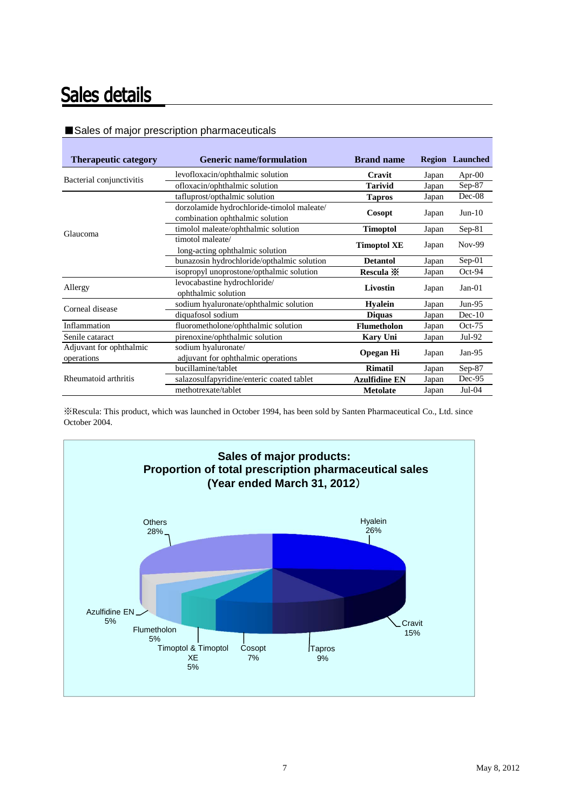## Sales details

| <b>Therapeutic category</b> | <b>Generic name/formulation</b>            | <b>Brand name</b>                                                                                             |       | <b>Region</b> Launched |
|-----------------------------|--------------------------------------------|---------------------------------------------------------------------------------------------------------------|-------|------------------------|
| Bacterial conjunctivitis    | levofloxacin/ophthalmic solution           | Cravit                                                                                                        | Japan | Apr- $00$              |
|                             | ofloxacin/ophthalmic solution              | <b>Tarivid</b>                                                                                                | Japan | Sep-87                 |
|                             | tafluprost/opthalmic solution              | <b>Tapros</b>                                                                                                 | Japan | $Dec-08$               |
|                             | dorzolamide hydrochloride-timolol maleate/ |                                                                                                               |       | $Jun-10$               |
|                             | combination ophthalmic solution            | Cosopt                                                                                                        | Japan |                        |
| Glaucoma                    | timolol maleate/ophthalmic solution        | <b>Timoptol</b>                                                                                               | Japan | $Sep-81$               |
|                             | timotol maleate/                           |                                                                                                               |       | Nov-99                 |
|                             | long-acting ophthalmic solution            | <b>Timoptol XE</b><br>Japan<br><b>Detantol</b><br>Japan<br>Rescula $\mathbb{X}$<br>Japan<br>Livostin<br>Japan |       |                        |
|                             | bunazosin hydrochloride/opthalmic solution |                                                                                                               |       | $Sep-01$               |
|                             | isopropyl unoprostone/opthalmic solution   |                                                                                                               |       | Oct-94                 |
| Allergy                     | levocabastine hydrochloride/               |                                                                                                               |       | $Jan-01$               |
|                             | ophthalmic solution                        |                                                                                                               |       |                        |
| Corneal disease             | sodium hyaluronate/ophthalmic solution     | <b>Hyalein</b>                                                                                                | Japan | $Jun-95$               |
|                             | diquafosol sodium                          | <b>Diquas</b>                                                                                                 | Japan | $Dec-10$               |
| Inflammation                | fluorometholone/ophthalmic solution        | Flumetholon                                                                                                   | Japan | $Oct-75$               |
| Senile cataract             | pirenoxine/ophthalmic solution             | <b>Kary Uni</b>                                                                                               | Japan | Jul-92                 |
| Adjuvant for ophthalmic     | sodium hyaluronate/                        |                                                                                                               |       |                        |
| operations                  | adjuvant for ophthalmic operations         | <b>Opegan Hi</b>                                                                                              | Japan | $Jan-95$               |
|                             | bucillamine/tablet                         | Rimatil                                                                                                       | Japan | $Sep-87$               |
| Rheumatoid arthritis        | salazosulfapyridine/enteric coated tablet  | <b>Azulfidine EN</b>                                                                                          | Japan | Dec-95                 |
|                             | methotrexate/tablet                        | <b>Metolate</b>                                                                                               | Japan | $Jul-04$               |

#### ■Sales of major prescription pharmaceuticals

※Rescula: This product, which was launched in October 1994, has been sold by Santen Pharmaceutical Co., Ltd. since October 2004.

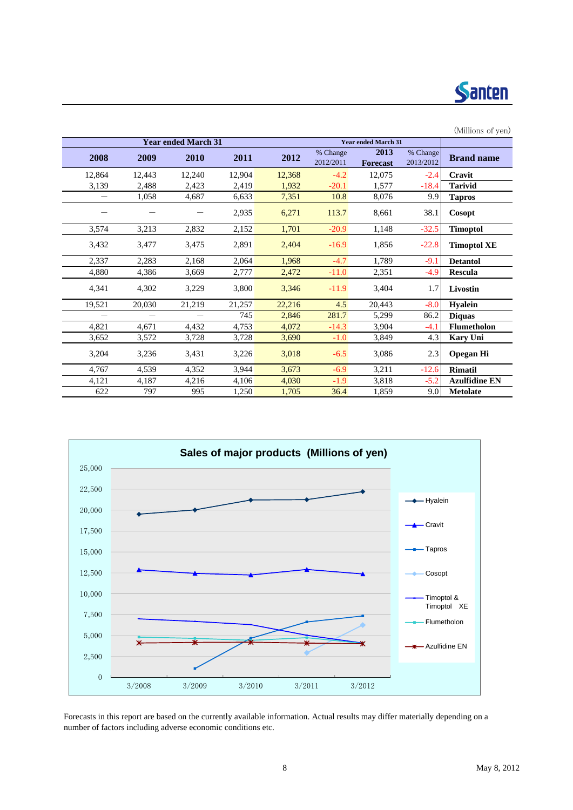

| (Millions of yen)    |                       |                            |                       |        |        |                            |        |        |
|----------------------|-----------------------|----------------------------|-----------------------|--------|--------|----------------------------|--------|--------|
|                      |                       | <b>Year ended March 31</b> |                       |        |        | <b>Year ended March 31</b> |        |        |
| <b>Brand name</b>    | % Change<br>2013/2012 | 2013<br><b>Forecast</b>    | % Change<br>2012/2011 | 2012   | 2011   | 2010                       | 2009   | 2008   |
| Cravit               | $-2.4$                | 12,075                     | $-4.2$                | 12,368 | 12,904 | 12,240                     | 12,443 | 12,864 |
| <b>Tarivid</b>       | $-18.4$               | 1,577                      | $-20.1$               | 1,932  | 2,419  | 2,423                      | 2,488  | 3,139  |
| <b>Tapros</b>        | 9.9                   | 8,076                      | 10.8                  | 7,351  | 6,633  | 4,687                      | 1,058  |        |
| Cosopt               | 38.1                  | 8,661                      | 113.7                 | 6,271  | 2,935  |                            |        |        |
| <b>Timoptol</b>      | $-32.5$               | 1,148                      | $-20.9$               | 1,701  | 2,152  | 2,832                      | 3,213  | 3,574  |
| <b>Timoptol XE</b>   | $-22.8$               | 1,856                      | $-16.9$               | 2,404  | 2,891  | 3,475                      | 3,477  | 3,432  |
| <b>Detantol</b>      | $-9.1$                | 1,789                      | $-4.7$                | 1,968  | 2,064  | 2,168                      | 2,283  | 2,337  |
| <b>Rescula</b>       | $-4.9$                | 2,351                      | $-11.0$               | 2,472  | 2,777  | 3.669                      | 4,386  | 4,880  |
| Livostin             | 1.7                   | 3,404                      | $-11.9$               | 3,346  | 3,800  | 3,229                      | 4,302  | 4,341  |
| <b>Hyalein</b>       | $-8.0$                | 20,443                     | 4.5                   | 22,216 | 21,257 | 21,219                     | 20,030 | 19,521 |
| <b>Diquas</b>        | 86.2                  | 5,299                      | 281.7                 | 2,846  | 745    |                            |        |        |
| Flumetholon          | $-4.1$                | 3,904                      | $-14.3$               | 4,072  | 4,753  | 4,432                      | 4,671  | 4,821  |
| <b>Kary Uni</b>      | 4.3                   | 3,849                      | $-1.0$                | 3,690  | 3,728  | 3,728                      | 3,572  | 3,652  |
| <b>Opegan Hi</b>     | 2.3                   | 3,086                      | $-6.5$                | 3,018  | 3,226  | 3,431                      | 3,236  | 3,204  |
| <b>Rimatil</b>       | $-12.6$               | 3,211                      | $-6.9$                | 3,673  | 3,944  | 4,352                      | 4,539  | 4,767  |
| <b>Azulfidine EN</b> | $-5.2$                | 3,818                      | $-1.9$                | 4,030  | 4,106  | 4,216                      | 4,187  | 4,121  |
| <b>Metolate</b>      | 9.0                   | 1,859                      | 36.4                  | 1,705  | 1,250  | 995                        | 797    | 622    |



Forecasts in this report are based on the currently available information. Actual results may differ materially depending on a number of factors including adverse economic conditions etc.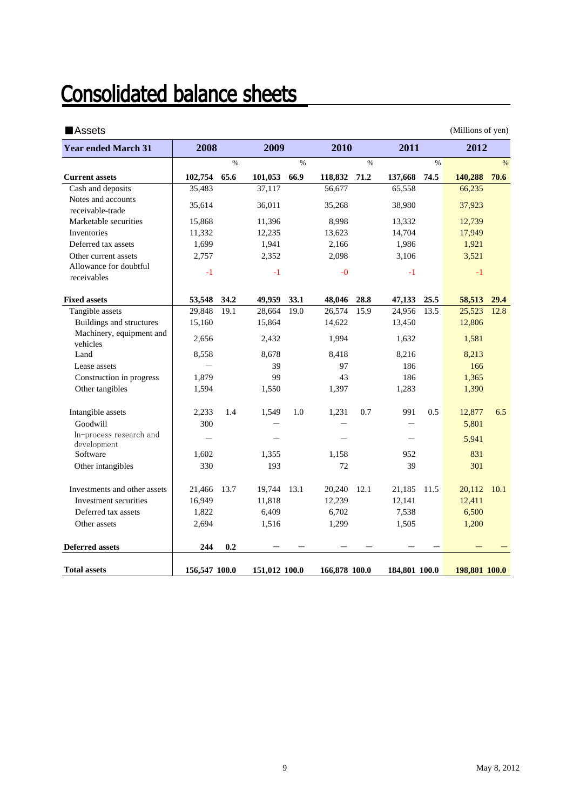# **Consolidated balance sheets**

| <b>Assets</b>                          |               |      |               |      |               |      |               |      | (Millions of yen) |               |
|----------------------------------------|---------------|------|---------------|------|---------------|------|---------------|------|-------------------|---------------|
| <b>Year ended March 31</b>             | 2008          |      | 2009          |      | 2010          |      | 2011          |      | 2012              |               |
|                                        |               | $\%$ |               | $\%$ |               | $\%$ |               | $\%$ |                   | $\frac{0}{0}$ |
| <b>Current assets</b>                  | 102,754       | 65.6 | 101,053       | 66.9 | 118,832       | 71.2 | 137,668       | 74.5 | 140,288           | 70.6          |
| Cash and deposits                      | 35,483        |      | 37,117        |      | 56,677        |      | 65,558        |      | 66,235            |               |
| Notes and accounts<br>receivable-trade | 35,614        |      | 36,011        |      | 35,268        |      | 38,980        |      | 37,923            |               |
| Marketable securities                  | 15,868        |      | 11,396        |      | 8,998         |      | 13,332        |      | 12,739            |               |
| Inventories                            | 11,332        |      | 12,235        |      | 13,623        |      | 14,704        |      | 17,949            |               |
| Deferred tax assets                    | 1,699         |      | 1,941         |      | 2,166         |      | 1,986         |      | 1,921             |               |
| Other current assets                   | 2,757         |      | 2,352         |      | 2,098         |      | 3,106         |      | 3,521             |               |
| Allowance for doubtful<br>receivables  | $-1$          |      | $-1$          |      | $-0$          |      | $-1$          |      | $-1$              |               |
| <b>Fixed assets</b>                    | 53,548        | 34.2 | 49,959        | 33.1 | 48,046        | 28.8 | 47,133        | 25.5 | 58,513            | 29.4          |
| Tangible assets                        | 29,848        | 19.1 | 28,664        | 19.0 | 26,574        | 15.9 | 24,956        | 13.5 | 25,523            | 12.8          |
| Buildings and structures               | 15,160        |      | 15,864        |      | 14,622        |      | 13,450        |      | 12,806            |               |
| Machinery, equipment and<br>vehicles   | 2,656         |      | 2,432         |      | 1,994         |      | 1,632         |      | 1,581             |               |
| Land                                   | 8,558         |      | 8,678         |      | 8,418         |      | 8,216         |      | 8,213             |               |
| Lease assets                           |               |      | 39            |      | 97            |      | 186           |      | 166               |               |
| Construction in progress               | 1,879         |      | 99            |      | 43            |      | 186           |      | 1,365             |               |
| Other tangibles                        | 1,594         |      | 1,550         |      | 1,397         |      | 1,283         |      | 1,390             |               |
| Intangible assets                      | 2,233         | 1.4  | 1,549         | 1.0  | 1.231         | 0.7  | 991           | 0.5  | 12,877            | 6.5           |
| Goodwill                               | 300           |      |               |      |               |      |               |      | 5,801             |               |
| In-process research and<br>development |               |      |               |      |               |      |               |      | 5,941             |               |
| Software                               | 1,602         |      | 1,355         |      | 1,158         |      | 952           |      | 831               |               |
| Other intangibles                      | 330           |      | 193           |      | 72            |      | 39            |      | 301               |               |
| Investments and other assets           | 21,466        | 13.7 | 19,744        | 13.1 | 20,240        | 12.1 | 21,185        | 11.5 | 20,112            | 10.1          |
| Investment securities                  | 16,949        |      | 11,818        |      | 12,239        |      | 12,141        |      | 12,411            |               |
| Deferred tax assets                    | 1,822         |      | 6,409         |      | 6,702         |      | 7,538         |      | 6,500             |               |
| Other assets                           | 2,694         |      | 1,516         |      | 1,299         |      | 1,505         |      | 1,200             |               |
| <b>Deferred assets</b>                 | 244           | 0.2  |               |      |               |      |               |      |                   |               |
| <b>Total assets</b>                    | 156,547 100.0 |      | 151,012 100.0 |      | 166,878 100.0 |      | 184,801 100.0 |      | 198,801 100.0     |               |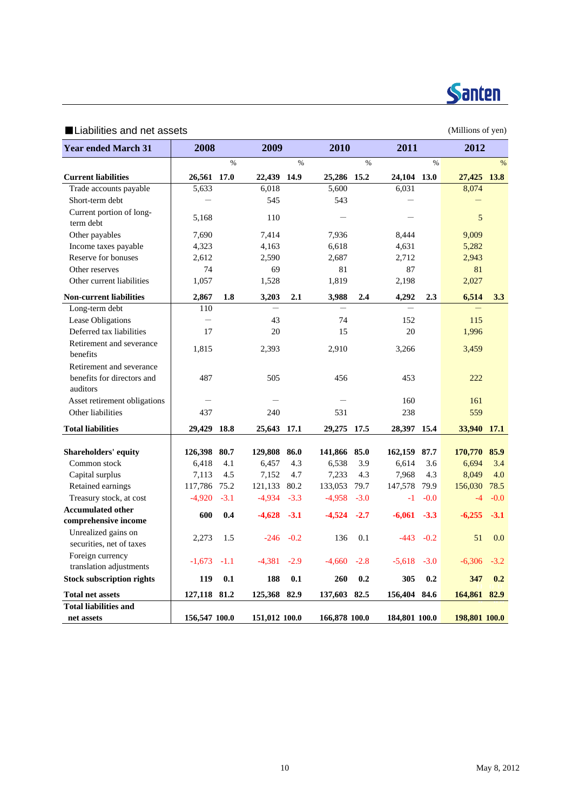

### ■Liabilities and net assets (Millions of yen)

| <b>Year ended March 31</b>                       | 2008              |        | 2009                     |            | 2010          |        | 2011             |             | 2012             |            |
|--------------------------------------------------|-------------------|--------|--------------------------|------------|---------------|--------|------------------|-------------|------------------|------------|
|                                                  |                   | $\%$   |                          | $\%$       |               | $\%$   |                  | $\%$        |                  | $\%$       |
| <b>Current liabilities</b>                       | 26,561 17.0       |        | 22,439 14.9              |            | 25,286 15.2   |        | 24,104 13.0      |             | 27,425 13.8      |            |
| Trade accounts payable                           | 5,633             |        | 6,018                    |            | 5,600         |        | 6,031            |             | 8,074            |            |
| Short-term debt                                  |                   |        | 545                      |            | 543           |        |                  |             |                  |            |
| Current portion of long-<br>term debt            | 5,168             |        | 110                      |            |               |        |                  |             | 5                |            |
| Other payables                                   | 7,690             |        | 7,414                    |            | 7,936         |        | 8,444            |             | 9,009            |            |
| Income taxes payable                             | 4,323             |        | 4,163                    |            | 6,618         |        | 4,631            |             | 5,282            |            |
| Reserve for bonuses                              | 2,612             |        | 2,590                    |            | 2,687         |        | 2,712            |             | 2,943            |            |
| Other reserves                                   | 74                |        | 69                       |            | 81            |        | 87               |             | 81               |            |
| Other current liabilities                        | 1,057             |        | 1,528                    |            | 1,819         |        | 2,198            |             | 2,027            |            |
| <b>Non-current liabilities</b>                   | 2,867             | 1.8    | 3,203                    | 2.1        | 3,988         | 2.4    | 4,292            | 2.3         | 6,514            | 3.3        |
| Long-term debt                                   | 110               |        | $\overline{\phantom{0}}$ |            |               |        |                  |             |                  |            |
| Lease Obligations                                | $\qquad \qquad -$ |        | 43                       |            | 74            |        | 152              |             | 115              |            |
| Deferred tax liabilities                         | 17                |        | 20                       |            | 15            |        | 20               |             | 1,996            |            |
| Retirement and severance<br>benefits             | 1.815             |        | 2,393                    |            | 2,910         |        | 3,266            |             | 3,459            |            |
| Retirement and severance                         |                   |        |                          |            |               |        |                  |             |                  |            |
| benefits for directors and<br>auditors           | 487               |        | 505                      |            | 456           |        | 453              |             | 222              |            |
| Asset retirement obligations                     |                   |        |                          |            |               |        | 160              |             | 161              |            |
| Other liabilities                                | 437               |        | 240                      |            | 531           |        | 238              |             | 559              |            |
| <b>Total liabilities</b>                         | 29,429            | 18.8   | 25,643 17.1              |            | 29,275        | 17.5   | 28,397 15.4      |             | 33,940 17.1      |            |
|                                                  |                   |        |                          |            |               |        |                  |             |                  |            |
| <b>Shareholders' equity</b>                      | 126,398           | 80.7   | 129,808<br>6,457         | 86.0       | 141,866       | 85.0   | 162,159<br>6,614 | 87.7<br>3.6 | 170,770<br>6,694 | 85.9       |
| Common stock                                     | 6,418             | 4.1    |                          | 4.3<br>4.7 | 6,538         | 3.9    |                  | 4.3         |                  | 3.4<br>4.0 |
| Capital surplus                                  | 7,113             | 4.5    | 7,152                    |            | 7,233         | 4.3    | 7,968            |             | 8,049            |            |
| Retained earnings                                | 117,786           | 75.2   | 121,133                  | 80.2       | 133,053       | 79.7   | 147,578          | 79.9        | 156,030          | 78.5       |
| Treasury stock, at cost                          | $-4,920$          | $-3.1$ | $-4,934$                 | $-3.3$     | $-4,958$      | $-3.0$ | $-1$             | $-0.0$      | $-4$             | $-0.0$     |
| <b>Accumulated other</b><br>comprehensive income | 600               | 0.4    | $-4,628$                 | $-3.1$     | $-4,524$      | $-2.7$ | $-6,061$         | $-3.3$      | $-6,255$         | $-3.1$     |
| Unrealized gains on                              |                   |        |                          |            |               |        |                  |             |                  |            |
| securities, net of taxes                         | 2,273             | 1.5    | $-246$                   | $-0.2$     | 136           | 0.1    | $-443$           | $-0.2$      | 51               | 0.0        |
| Foreign currency<br>translation adjustments      | $-1,673$          | $-1.1$ | $-4,381$                 | $-2.9$     | $-4,660$      | $-2.8$ | $-5,618$         | $-3.0$      | $-6,306$         | $-3.2$     |
| <b>Stock subscription rights</b>                 | 119               | 0.1    | 188                      | 0.1        | 260           | 0.2    | 305              | 0.2         | 347              | 0.2        |
| <b>Total net assets</b>                          | 127,118 81.2      |        | 125,368                  | 82.9       | 137,603 82.5  |        | 156,404 84.6     |             | 164,861          | 82.9       |
| <b>Total liabilities and</b>                     |                   |        |                          |            |               |        |                  |             |                  |            |
| net assets                                       | 156,547 100.0     |        | 151,012 100.0            |            | 166,878 100.0 |        | 184,801 100.0    |             | 198,801 100.0    |            |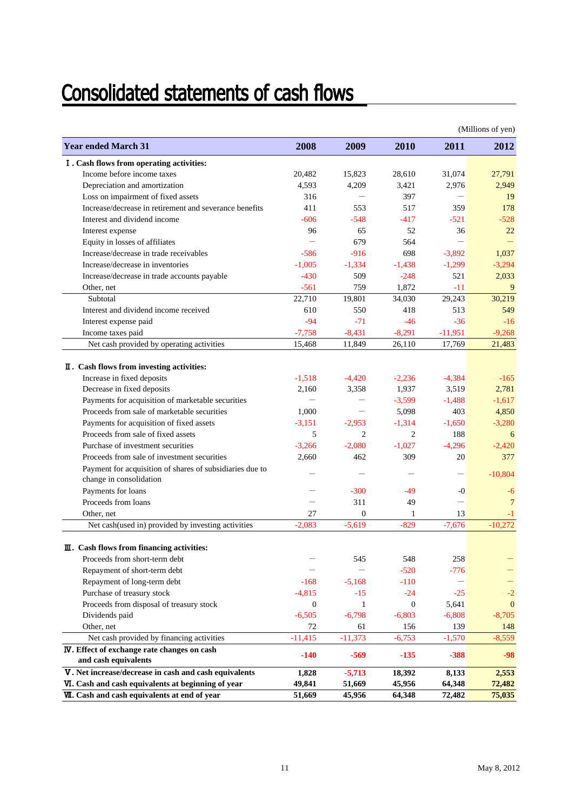# **Consolidated statements of cash flows**

|                                                          |                          |                          |                  |                          | (Millions of yen) |
|----------------------------------------------------------|--------------------------|--------------------------|------------------|--------------------------|-------------------|
| <b>Year ended March 31</b>                               | 2008                     | 2009                     | 2010             | 2011                     | 2012              |
| I. Cash flows from operating activities:                 |                          |                          |                  |                          |                   |
| Income before income taxes                               | 20.482                   | 15.823                   | 28,610           | 31.074                   | 27.791            |
| Depreciation and amortization                            | 4,593                    | 4,209                    | 3,421            | 2,976                    | 2.949             |
| Loss on impairment of fixed assets                       | 316                      |                          | 397              |                          | 19                |
| Increase/decrease in retirement and severance benefits   | 411                      | 553                      | 517              | 359                      | 178               |
| Interest and dividend income                             | $-606$                   | $-548$                   | $-417$           | $-521$                   | $-528$            |
| Interest expense                                         | 96                       | 65                       | 52               | 36                       | 22                |
| Equity in losses of affiliates                           | $\overline{\phantom{0}}$ | 679                      | 564              | $\overline{\phantom{0}}$ |                   |
| Increase/decrease in trade receivables                   | $-586$                   | $-916$                   | 698              | $-3,892$                 | 1,037             |
| Increase/decrease in inventories                         | $-1,005$                 | $-1,334$                 | $-1,438$         | $-1,299$                 | $-3,294$          |
| Increase/decrease in trade accounts payable              | $-430$                   | 509                      | $-248$           | 521                      | 2,033             |
| Other, net                                               | $-561$                   | 759                      | 1,872            | $-11$                    | 9                 |
| Subtotal                                                 | 22,710                   | 19,801                   | 34,030           | 29,243                   | 30,219            |
| Interest and dividend income received                    | 610                      | 550                      | 418              | 513                      | 549               |
| Interest expense paid                                    | $-94$                    | $-71$                    | $-46$            | $-36$                    | $-16$             |
| Income taxes paid                                        | $-7,758$                 | $-8,431$                 | $-8,291$         | $-11,951$                | $-9,268$          |
| Net cash provided by operating activities                | 15,468                   | 11,849                   | 26,110           | 17,769                   | 21,483            |
|                                                          |                          |                          |                  |                          |                   |
| II. Cash flows from investing activities:                |                          |                          |                  |                          |                   |
| Increase in fixed deposits                               | $-1,518$                 | $-4.420$                 | $-2,236$         | $-4,384$                 | $-165$            |
| Decrease in fixed deposits                               | 2,160                    | 3,358                    | 1,937            | 3,519                    | 2,781             |
| Payments for acquisition of marketable securities        | $\overline{\phantom{0}}$ | $\qquad \qquad -$        | $-3,599$         | $-1,488$                 | $-1,617$          |
| Proceeds from sale of marketable securities              | 1,000                    | $\overline{\phantom{0}}$ | 5,098            | 403                      | 4,850             |
| Payments for acquisition of fixed assets                 | $-3,151$                 | $-2,953$                 | $-1,314$         | $-1,650$                 | $-3,280$          |
| Proceeds from sale of fixed assets                       | 5                        | $\overline{c}$           | $\overline{c}$   | 188                      | 6                 |
| Purchase of investment securities                        | $-3,266$                 | $-2.080$                 | $-1.027$         | $-4,296$                 | $-2,420$          |
| Proceeds from sale of investment securities              | 2,660                    | 462                      | 309              | 20                       | 377               |
| Payment for acquisition of shares of subsidiaries due to |                          |                          |                  | $\qquad \qquad -$        | $-10,804$         |
| change in consolidation                                  |                          |                          |                  |                          |                   |
| Payments for loans                                       |                          | $-300$                   | -49              | $-0$                     | -6                |
| Proceeds from loans                                      |                          | 311                      | 49               |                          | $\overline{7}$    |
| Other, net                                               | 27                       | $\Omega$                 | 1                | 13                       | -1                |
| Net cash(used in) provided by investing activities       | $-2,083$                 | $-5.619$                 | $-829$           | $-7,676$                 | $-10,272$         |
| III. Cash flows from financing activities:               |                          |                          |                  |                          |                   |
| Proceeds from short-term debt                            |                          | 545                      | 548              | 258                      |                   |
| Repayment of short-term debt                             |                          |                          | $-520$           | $-776$                   |                   |
| Repayment of long-term debt                              | $-168$                   | $-5,168$                 | $-110$           | $\qquad \qquad -$        |                   |
| Purchase of treasury stock                               | $-4,815$                 | $-15$                    | $-24$            | $-25$                    | $-2$              |
| Proceeds from disposal of treasury stock                 | $\mathbf{0}$             | 1                        | $\boldsymbol{0}$ | 5,641                    | $\mathbf{0}$      |
| Dividends paid                                           | $-6,505$                 | $-6,798$                 | $-6,803$         | $-6,808$                 | $-8,705$          |
| Other, net                                               | 72                       | 61                       | 156              | 139                      | 148               |
| Net cash provided by financing activities                | $-11,415$                | $-11,373$                | $-6,753$         | $-1,570$                 | $-8,559$          |
| <b>IV</b> . Effect of exchange rate changes on cash      |                          |                          |                  |                          |                   |
| and cash equivalents                                     | $-140$                   | $-569$                   | $-135$           | $-388$                   | $-98$             |
| V. Net increase/decrease in cash and cash equivalents    | 1,828                    | $-5,713$                 | 18,392           | 8,133                    | 2,553             |
| VI. Cash and cash equivalents at beginning of year       | 49,841                   | 51,669                   | 45,956           | 64,348                   | 72,482            |
| <b>VII.</b> Cash and cash equivalents at end of year     | 51,669                   | 45,956                   | 64,348           | 72,482                   | 75,035            |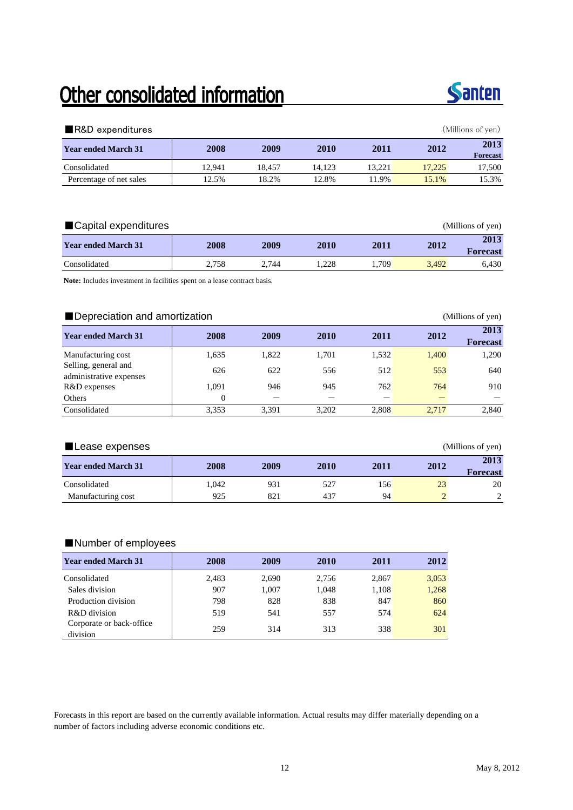# Other consolidated information



| R&D expenditures           |        |        |        |        |        | (Millions of yen)       |
|----------------------------|--------|--------|--------|--------|--------|-------------------------|
| <b>Year ended March 31</b> | 2008   | 2009   | 2010   | 2011   | 2012   | 2013<br><b>Forecast</b> |
| Consolidated               | 12.941 | 18.457 | 14.123 | 13.221 | 17.225 | 17,500                  |
| Percentage of net sales    | 12.5%  | 18.2%  | 12.8%  | 11.9%  | 15.1%  | 15.3%                   |

| ■Capital expenditures      |       |       |      |       |       | (Millions of yen) |
|----------------------------|-------|-------|------|-------|-------|-------------------|
| <b>Year ended March 31</b> | 2008  | 2009  | 2010 | 2011  | 2012  | 2013<br>Forecast  |
| Consolidated               | 2.758 | 2.744 | .228 | 1.709 | 3.492 | 6.430             |

**Note:** Includes investment in facilities spent on a lease contract basis.

|                                                 |          | Depreciation and amortization<br>(Millions of yen) |       |       |       |                         |  |  |  |  |  |  |
|-------------------------------------------------|----------|----------------------------------------------------|-------|-------|-------|-------------------------|--|--|--|--|--|--|
| <b>Year ended March 31</b>                      | 2008     | 2009                                               | 2010  | 2011  | 2012  | 2013<br><b>Forecast</b> |  |  |  |  |  |  |
| Manufacturing cost                              | 1,635    | 1,822                                              | 1.701 | 1,532 | 1,400 | 1,290                   |  |  |  |  |  |  |
| Selling, general and<br>administrative expenses | 626      | 622                                                | 556   | 512   | 553   | 640                     |  |  |  |  |  |  |
| R&D expenses                                    | 1.091    | 946                                                | 945   | 762   | 764   | 910                     |  |  |  |  |  |  |
| Others                                          | $\Omega$ |                                                    |       |       |       |                         |  |  |  |  |  |  |
| Consolidated                                    | 3,353    | 3.391                                              | 3.202 | 2.808 | 2,717 | 2,840                   |  |  |  |  |  |  |

| ■Lease expenses            |       |      |      |      |      | (Millions of yen) |
|----------------------------|-------|------|------|------|------|-------------------|
| <b>Year ended March 31</b> | 2008  | 2009 | 2010 | 2011 | 2012 | 2013<br>Forecast  |
| Consolidated               | 1.042 | 931  | 527  | 156  | 23   | 20                |
| Manufacturing cost         | 925   | 821  | 437  | 94   |      |                   |

#### ■Number of employees

| <b>Year ended March 31</b>           | 2008  | 2009  | 2010  | 2011  | 2012  |
|--------------------------------------|-------|-------|-------|-------|-------|
| Consolidated                         | 2,483 | 2,690 | 2.756 | 2,867 | 3,053 |
| Sales division                       | 907   | 1.007 | 1.048 | 1,108 | 1,268 |
| Production division                  | 798   | 828   | 838   | 847   | 860   |
| R&D division                         | 519   | 541   | 557   | 574   | 624   |
| Corporate or back-office<br>division | 259   | 314   | 313   | 338   | 301   |

Forecasts in this report are based on the currently available information. Actual results may differ materially depending on a number of factors including adverse economic conditions etc.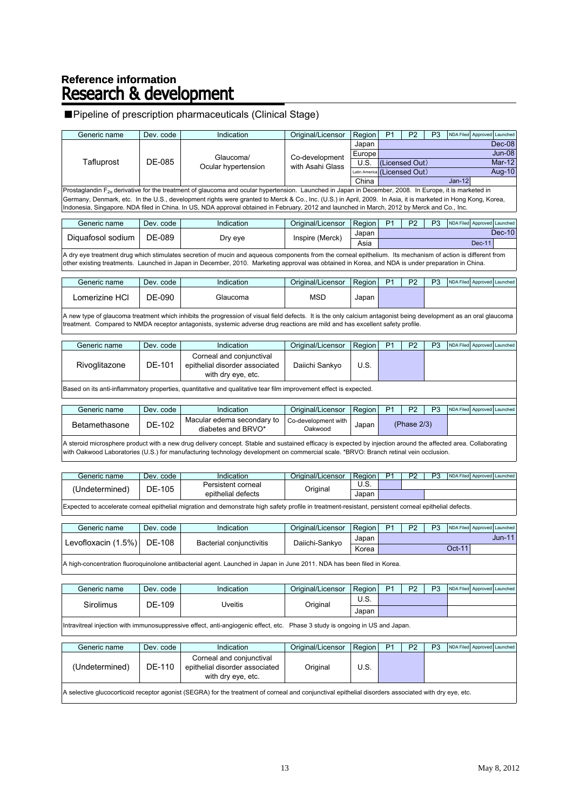# Reference information<br>**Research & development**

#### ■Pipeline of prescription pharmaceuticals (Clinical Stage)

| Generic name | Dev. code | <b>Indication</b>                                                                                                                                            | Original/Licensor | Region                       | P <sub>1</sub> | P <sub>2</sub> | P <sub>3</sub> |          | NDA Filed Approved Launched |          |
|--------------|-----------|--------------------------------------------------------------------------------------------------------------------------------------------------------------|-------------------|------------------------------|----------------|----------------|----------------|----------|-----------------------------|----------|
|              |           |                                                                                                                                                              |                   | Japan                        |                |                |                |          |                             | Dec-08   |
|              |           | Glaucoma/                                                                                                                                                    | Co-development    | Europe                       |                |                |                |          |                             | Jun-08   |
| Tafluprost   | DE-085    | Ocular hypertension                                                                                                                                          | with Asahi Glass  | U.S.                         |                | (Licensed Out) |                |          |                             | $Mar-12$ |
|              |           |                                                                                                                                                              |                   | Latin America (Licensed Out) |                |                |                |          |                             | Aug-10   |
|              |           |                                                                                                                                                              |                   | China                        |                |                |                | $Jan-12$ |                             |          |
|              |           | Prostaglandin $F_{2a}$ derivative for the treatment of glaucoma and ocular hypertension. Launched in Japan in December, 2008. In Europe, it is marketed in   |                   |                              |                |                |                |          |                             |          |
|              |           | Germany, Denmark, etc. In the U.S., development rights were granted to Merck & Co., Inc. (U.S.) in April, 2009. In Asia, it is marketed in Hong Kong, Korea, |                   |                              |                |                |                |          |                             |          |
|              |           | Indonesia, Singapore. NDA filed in China. In US, NDA approval obtained in February, 2012 and launched in March, 2012 by Merck and Co., Inc.                  |                   |                              |                |                |                |          |                             |          |
|              |           |                                                                                                                                                              |                   |                              |                |                |                |          |                             |          |
|              |           |                                                                                                                                                              |                   |                              |                |                |                |          |                             |          |

| Generic name      | Dev. code | Indication | Original/Licensor | Region | D <sub>1</sub> | P <sub>2</sub> | D <sub>3</sub> |      | NDA Filed Approved Launched |               |
|-------------------|-----------|------------|-------------------|--------|----------------|----------------|----------------|------|-----------------------------|---------------|
| Diguafosol sodium | DE-089    | Dry eye    | Inspire (Merck)   | Japan  |                |                |                |      |                             | <b>Dec-10</b> |
|                   |           |            |                   | Asia   |                |                | <b>Dec-11</b>  |      |                             |               |
|                   | .         |            |                   |        |                |                |                | $ -$ | $\cdots$                    |               |

A dry eye treatment drug which stimulates secretion of mucin and aqueous components from the corneal epithelium. Its mechanism of action is different from other existing treatments. Launched in Japan in December, 2010. Marketing approval was obtained in Korea, and NDA is under preparation in China.

| Lomerizine HCl<br>DE-090<br>MSD<br>Glaucoma<br>Japan | Generic name | Dev. code | Indication | Original/Licensor | Region | D <sub>1</sub> | פם | D <sub>3</sub> |  | NDA Filed Approved Launched |
|------------------------------------------------------|--------------|-----------|------------|-------------------|--------|----------------|----|----------------|--|-----------------------------|
|                                                      |              |           |            |                   |        |                |    |                |  |                             |

A new type of glaucoma treatment which inhibits the progression of visual field defects. It is the only calcium antagonist being development as an oral glaucoma treatment. Compared to NMDA receptor antagonists, systemic adverse drug reactions are mild and has excellent safety profile.

| Generic name  | Dev. code | Indication                                                                       | Original/Licensor | Region | P <sub>1</sub> | P <sub>2</sub> | P3 |  | NDA Filed Approved Launched |
|---------------|-----------|----------------------------------------------------------------------------------|-------------------|--------|----------------|----------------|----|--|-----------------------------|
| Rivoglitazone | DE-101    | Corneal and conjunctival<br>epithelial disorder associated<br>with dry eye, etc. | Daiichi Sankvo    | U.S.   |                |                |    |  |                             |
|               |           |                                                                                  |                   |        |                |                |    |  |                             |

Based on its anti-inflammatory properties, quantitative and qualitative tear film improvement effect is expected.

| Generic name  | Dev. code | Indication                                       | Original/Licensor                | Region |             | <b>D</b> <sub>2</sub> | <b>D</b> <sub>3</sub> | NDA Filed Approved Launched |  |
|---------------|-----------|--------------------------------------------------|----------------------------------|--------|-------------|-----------------------|-----------------------|-----------------------------|--|
| Betamethasone | DE-102    | Macular edema secondary to<br>diabetes and BRVO* | Co-development with I<br>Oakwood | Japan  | (Phase 2/3) |                       |                       |                             |  |
|               |           |                                                  |                                  |        |             |                       |                       |                             |  |

A steroid microsphere product with a new drug delivery concept. Stable and sustained efficacy is expected by injection around the affected area. Collaborating with Oakwood Laboratories (U.S.) for manufacturing technology development on commercial scale. \*BRVO: Branch retinal vein occlusion.

| Generic name        | Dev. code | Indication         | Original/Licensor | Region         | D <sub>1</sub> | מח | D <sub>2</sub> | NDA Filed Approved Launched |  |
|---------------------|-----------|--------------------|-------------------|----------------|----------------|----|----------------|-----------------------------|--|
|                     | DE-105    | Persistent corneal |                   | $\sim$<br>U.S. |                |    |                |                             |  |
| <b>Undetermined</b> |           | epithelial defects | Original          | Japan          |                |    |                |                             |  |
|                     |           |                    |                   |                |                |    |                |                             |  |

Expected to accelerate corneal epithelial migration and demonstrate high safety profile in treatment-resistant, persistent corneal epithelial defects.

| Generic name               | Dev. code | Indication               | Original/Licensor   Region |       | P <sub>1</sub> | P <sub>2</sub> | P <sub>3</sub> | NDA Filed Approved Launched |  |
|----------------------------|-----------|--------------------------|----------------------------|-------|----------------|----------------|----------------|-----------------------------|--|
| Levofloxacin (1.5%) DE-108 |           | Bacterial conjunctivitis | Daiichi-Sankyo             | Japan |                |                |                | <b>Jun-11</b>               |  |
|                            |           |                          |                            | Korea |                |                |                | Oct-11                      |  |
|                            |           |                          |                            |       |                |                |                |                             |  |

A high-concentration fluoroquinolone antibacterial agent. Launched in Japan in June 2011. NDA has been filed in Korea.

| Generic name                                                                                                                                                                                                                      | Dev. code                | Indication | Original/Licensor | Region | P <sub>1</sub> | D <sub>2</sub> | P <sub>3</sub> | NDA Filed Approved Launched |  |
|-----------------------------------------------------------------------------------------------------------------------------------------------------------------------------------------------------------------------------------|--------------------------|------------|-------------------|--------|----------------|----------------|----------------|-----------------------------|--|
| <b>Sirolimus</b>                                                                                                                                                                                                                  | DE-109<br><b>Jveitis</b> |            |                   | U.S.   |                |                |                |                             |  |
|                                                                                                                                                                                                                                   |                          |            | Original          | Japan  |                |                |                |                             |  |
| $\mathbf{r}$ . The contract of the contract of the contract of the contract of the contract of the contract of the contract of the contract of the contract of the contract of the contract of the contract of the contract of th |                          |            |                   |        |                |                |                |                             |  |

Intravitreal injection with immunosuppressive effect, anti-angiogenic effect, etc. Phase 3 study is ongoing in US and Japan.

| Generic name                                                                                                                                         | Dev. code | Indication                                                                       | Original/Licensor | Region | P <sub>1</sub> | P <sub>2</sub> | P3 |  | NDA Filed Approved Launched |
|------------------------------------------------------------------------------------------------------------------------------------------------------|-----------|----------------------------------------------------------------------------------|-------------------|--------|----------------|----------------|----|--|-----------------------------|
| (Undetermined)                                                                                                                                       | DE-110    | Corneal and conjunctival<br>epithelial disorder associated<br>with dry eye, etc. | Original          | U.S.   |                |                |    |  |                             |
| A selective glucocorticoid receptor agonist (SEGRA) for the treatment of corneal and conjunctival epithelial disorders associated with dry eye, etc. |           |                                                                                  |                   |        |                |                |    |  |                             |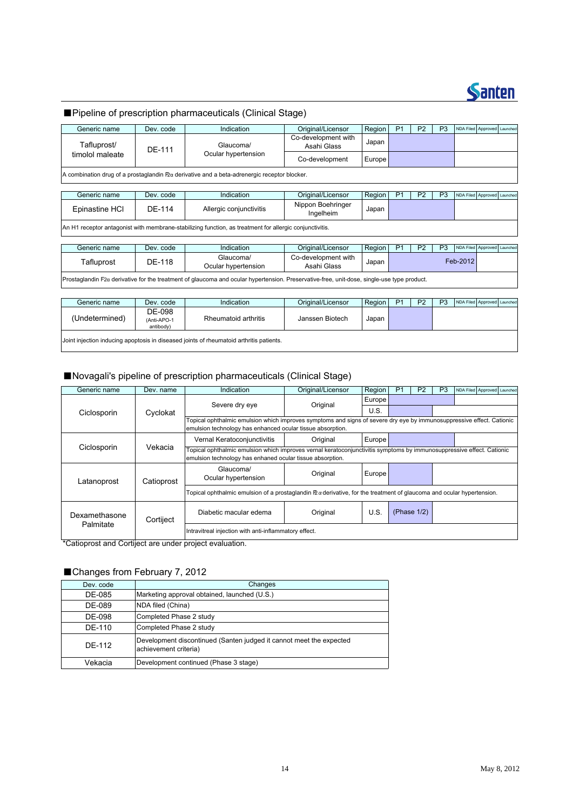

|                 |                                    | Pipeline of prescription pharmaceuticals (Clinical Stage)                                                                                  |                                    |        |                |                |                |                  |                             |  |
|-----------------|------------------------------------|--------------------------------------------------------------------------------------------------------------------------------------------|------------------------------------|--------|----------------|----------------|----------------|------------------|-----------------------------|--|
| Generic name    | Dev. code                          | Indication                                                                                                                                 | Original/Licensor                  | Region | P <sub>1</sub> | P <sub>2</sub> | P <sub>3</sub> |                  | NDA Filed Approved Launched |  |
| Tafluprost/     | DE-111                             | Glaucoma/                                                                                                                                  | Co-development with<br>Asahi Glass | Japan  |                |                |                |                  |                             |  |
| timolol maleate |                                    | Ocular hypertension                                                                                                                        | Co-development                     | Europe |                |                |                |                  |                             |  |
|                 |                                    | A combination drug of a prostaglandin Pza derivative and a beta-adrenergic receptor blocker.                                               |                                    |        |                |                |                |                  |                             |  |
| Generic name    | Dev. code                          | Indication                                                                                                                                 | Original/Licensor                  | Region | P <sub>1</sub> | P <sub>2</sub> | P <sub>3</sub> | <b>NDA Filed</b> | Approved Launched           |  |
| Epinastine HCI  | DE-114                             | Allergic conjunctivitis                                                                                                                    | Nippon Boehringer<br>Ingelheim     | Japan  |                |                |                |                  |                             |  |
|                 |                                    | An H1 receptor antagonist with membrane-stabilizing function, as treatment for allergic conjunctivitis.                                    |                                    |        |                |                |                |                  |                             |  |
| Generic name    | Dev. code                          | Indication                                                                                                                                 | Original/Licensor                  | Region | P <sub>1</sub> | P <sub>2</sub> | P <sub>3</sub> |                  | NDA Filed Approved Launched |  |
| Tafluprost      | <b>DE-118</b>                      | Glaucoma/<br>Ocular hypertension                                                                                                           | Co-development with<br>Asahi Glass | Japan  |                |                |                | Feb-2012         |                             |  |
|                 |                                    | Prostaglandin F2a derivative for the treatment of glaucoma and ocular hypertension. Preservative-free, unit-dose, single-use type product. |                                    |        |                |                |                |                  |                             |  |
|                 |                                    |                                                                                                                                            |                                    |        |                |                |                |                  |                             |  |
| Generic name    | Dev. code                          | Indication                                                                                                                                 | Original/Licensor                  | Region | P <sub>1</sub> | P <sub>2</sub> | P <sub>3</sub> |                  | NDA Filed Approved Launched |  |
| (Undetermined)  | DE-098<br>(Anti-APO-1<br>antibody) | Rheumatoid arthritis                                                                                                                       | Janssen Biotech                    | Japan  |                |                |                |                  |                             |  |

### ■Novagali's pipeline of prescription pharmaceuticals (Clinical Stage)

Joint injection inducing apoptosis in diseased joints of rheumatoid arthritis patients.

| Generic name              | Dev. name | Indication                                                                                                                                                                          | Original/Licensor | Region | P <sub>1</sub> | P <sub>2</sub> | P <sub>3</sub> |  | NDA Filed Approved Launched |  |  |
|---------------------------|-----------|-------------------------------------------------------------------------------------------------------------------------------------------------------------------------------------|-------------------|--------|----------------|----------------|----------------|--|-----------------------------|--|--|
|                           |           | Severe dry eye                                                                                                                                                                      | Original          | Europe |                |                |                |  |                             |  |  |
| Ciclosporin               | Cyclokat  |                                                                                                                                                                                     |                   | U.S.   |                |                |                |  |                             |  |  |
|                           |           | Topical ophthalmic emulsion which improves symptoms and signs of severe dry eye by immunosuppressive effect. Cationic<br>emulsion technology has enhanced ocular tissue absorption. |                   |        |                |                |                |  |                             |  |  |
|                           |           | Original<br>Vernal Keratoconjunctivitis<br>Europe                                                                                                                                   |                   |        |                |                |                |  |                             |  |  |
| Ciclosporin               | Vekacia   | Topical ophthalmic emulsion which improves vernal keratoconjunctivitis symptoms by immunosuppressive effect. Cationic<br>emulsion technology has enhaned ocular tissue absorption.  |                   |        |                |                |                |  |                             |  |  |
| Catioprost<br>Latanoprost |           | Glaucoma/<br>Ocular hypertension                                                                                                                                                    | Original          | Europe |                |                |                |  |                             |  |  |
|                           |           | Topical ophthalmic emulsion of a prostaglandin $\mathbb B$ a derivative, for the treatment of glaucoma and ocular hypertension.                                                     |                   |        |                |                |                |  |                             |  |  |
| Dexamethasone             | Cortiject | Diabetic macular edema                                                                                                                                                              | Original          | U.S.   |                | (Phase $1/2$ ) |                |  |                             |  |  |
| Palmitate                 |           | Intravitreal injection with anti-inflammatory effect.                                                                                                                               |                   |        |                |                |                |  |                             |  |  |

**Example 1**<br>\*Catioprost and Cortiject are under project evaluation.

### ■Changes from February 7, 2012

| Dev. code | Changes                                                                                      |
|-----------|----------------------------------------------------------------------------------------------|
| DE-085    | Marketing approval obtained, launched (U.S.)                                                 |
| DE-089    | NDA filed (China)                                                                            |
| DE-098    | Completed Phase 2 study                                                                      |
| DF-110    | Completed Phase 2 study                                                                      |
| DF-112    | Development discontinued (Santen judged it cannot meet the expected<br>achievement criteria) |
| Vekacia   | Development continued (Phase 3 stage)                                                        |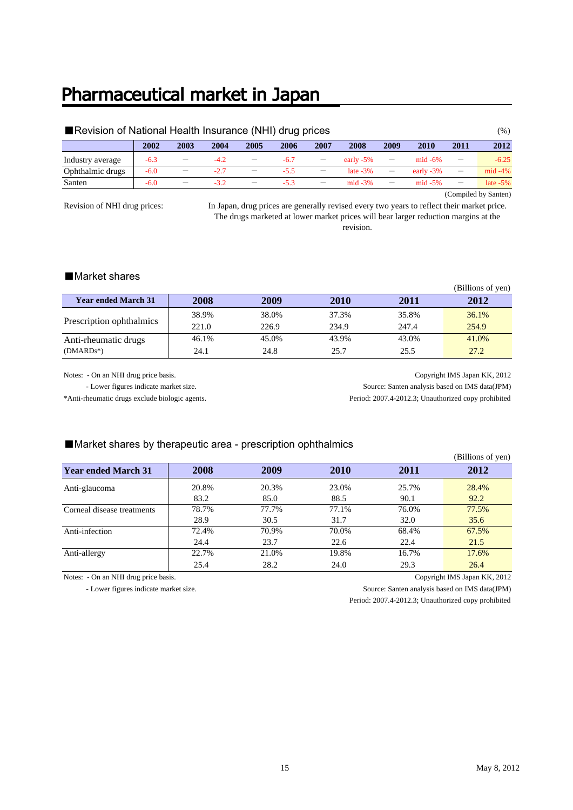### Pharmaceutical market in Japan

| Revision of National Health Insurance (NHI) drug prices |        |                          |        |                          |        |                          |              |                          |              | $(\%)$                   |                      |
|---------------------------------------------------------|--------|--------------------------|--------|--------------------------|--------|--------------------------|--------------|--------------------------|--------------|--------------------------|----------------------|
|                                                         | 2002   | 2003                     | 2004   | 2005                     | 2006   | 2007                     | 2008         | 2009                     | 2010         | 2011                     | 2012                 |
| Industry average                                        | $-6.3$ | $\overline{\phantom{m}}$ | $-4.2$ | $\overline{\phantom{a}}$ | $-6.7$ | $\overline{\phantom{m}}$ | early $-5\%$ | $\qquad \qquad$          | $mid -6\%$   | $\equiv$                 | $-6.25$              |
| Ophthalmic drugs                                        | $-6.0$ | $\overline{\phantom{m}}$ | $-2.7$ | $\overline{\phantom{m}}$ | $-5.5$ | $\qquad \qquad -$        | late $-3\%$  | $\overline{\phantom{m}}$ | early $-3\%$ | $\overline{\phantom{m}}$ | $mid -4%$            |
| Santen                                                  | $-6.0$ |                          | $-3.2$ | $\overline{\phantom{m}}$ | $-5.3$ | $\overline{\phantom{m}}$ | $mid -3%$    | $\overline{\phantom{m}}$ | $mid -5%$    | $\equiv$                 | late $-5\%$          |
|                                                         |        |                          |        |                          |        |                          |              |                          |              |                          | (Compiled by Santen) |

Revision of NHI drug prices:

In Japan, drug prices are generally revised every two years to reflect their market price. The drugs marketed at lower market prices will bear larger reduction margins at the revision.

### ■Market shares

|                            |       |       |       |       | (Billions of yen) |
|----------------------------|-------|-------|-------|-------|-------------------|
| <b>Year ended March 31</b> | 2008  | 2009  | 2010  | 2011  | 2012              |
| Prescription ophthalmics   | 38.9% | 38.0% | 37.3% | 35.8% | 36.1%             |
|                            | 221.0 | 226.9 | 234.9 | 247.4 | 254.9             |
| Anti-rheumatic drugs       | 46.1% | 45.0% | 43.9% | 43.0% | 41.0%             |
| $(DMARDs^*)$               | 24.1  | 24.8  | 25.7  | 25.5  | 27.2              |

Notes: - On an NHI drug price basis. Copyright IMS Japan KK, 2012 - Lower figures indicate market size. Source: Santen analysis based on IMS data(JPM) \*Anti-rheumatic drugs exclude biologic agents. Period: 2007.4-2012.3; Unauthorized copy prohibited

#### ■Market shares by therapeutic area - prescription ophthalmics

|                            |       |       |             |       | (Billions of yen) |
|----------------------------|-------|-------|-------------|-------|-------------------|
| <b>Year ended March 31</b> | 2008  | 2009  | <b>2010</b> | 2011  | 2012              |
| Anti-glaucoma              | 20.8% | 20.3% | 23.0%       | 25.7% | 28.4%             |
|                            | 83.2  | 85.0  | 88.5        | 90.1  | 92.2              |
| Corneal disease treatments | 78.7% | 77.7% | 77.1%       | 76.0% | 77.5%             |
|                            | 28.9  | 30.5  | 31.7        | 32.0  | 35.6              |
| Anti-infection             | 72.4% | 70.9% | 70.0%       | 68.4% | 67.5%             |
|                            | 24.4  | 23.7  | 22.6        | 22.4  | 21.5              |
| Anti-allergy               | 22.7% | 21.0% | 19.8%       | 16.7% | 17.6%             |
|                            | 25.4  | 28.2  | 24.0        | 29.3  | 26.4              |

Notes: - On an NHI drug price basis. Copyright IMS Japan KK, 2012

 - Lower figures indicate market size. Source: Santen analysis based on IMS data(JPM) Period: 2007.4-2012.3; Unauthorized copy prohibited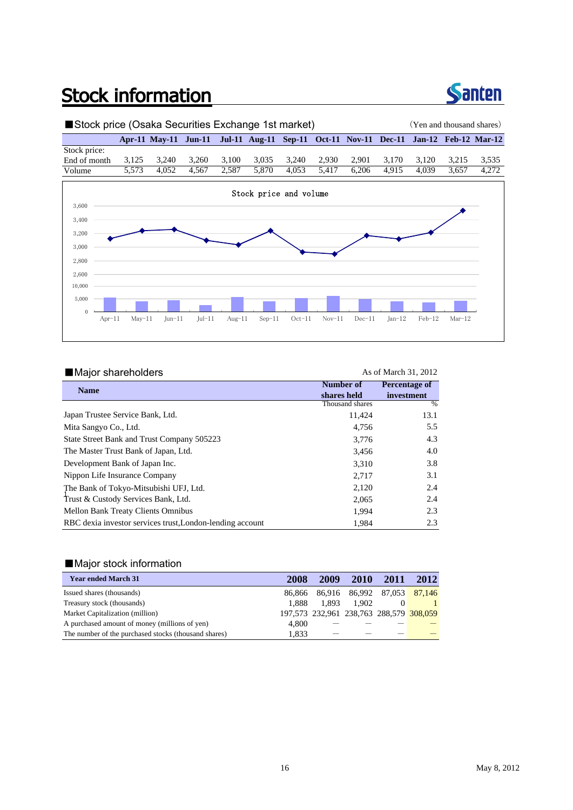## **Stock information**



### ■Stock price (Osaka Securities Exchange 1st market) (Yen and thousand shares) **Apr-11 May-11 Jun-11 Jul-11 Aug-11 Sep-11 Oct-11 Nov-11 Dec-11 Jan-12 Feb-12 Mar-12**



| Major shareholders                                        |                 | As of March 31, 2012 |
|-----------------------------------------------------------|-----------------|----------------------|
| <b>Name</b>                                               | Number of       | Percentage of        |
|                                                           | shares held     | investment           |
|                                                           | Thousand shares | $\%$                 |
| Japan Trustee Service Bank, Ltd.                          | 11,424          | 13.1                 |
| Mita Sangyo Co., Ltd.                                     | 4,756           | 5.5                  |
| State Street Bank and Trust Company 505223                | 3,776           | 4.3                  |
| The Master Trust Bank of Japan, Ltd.                      | 3,456           | 4.0                  |
| Development Bank of Japan Inc.                            | 3.310           | 3.8                  |
| Nippon Life Insurance Company                             | 2,717           | 3.1                  |
| The Bank of Tokyo-Mitsubishi UFJ, Ltd.                    | 2,120           | 2.4                  |
| Trust & Custody Services Bank, Ltd.                       | 2,065           | 2.4                  |
| <b>Mellon Bank Treaty Clients Omnibus</b>                 | 1.994           | 2.3                  |
| RBC dexia investor services trust, London-lending account | 1.984           | 2.3                  |

#### ■Major stock information

| <b>Year ended March 31</b>                           | 2008   | 2009                                    | <b>2010</b> | 2011                        | 2012 |
|------------------------------------------------------|--------|-----------------------------------------|-------------|-----------------------------|------|
| Issued shares (thousands)                            | 86.866 |                                         |             | 86,916 86,992 87,053 87,146 |      |
| Treasury stock (thousands)                           | 1.888  | 1.893                                   | 1.902       | 0                           |      |
| Market Capitalization (million)                      |        | 197,573 232,961 238,763 288,579 308,059 |             |                             |      |
| A purchased amount of money (millions of yen)        | 4.800  |                                         |             |                             |      |
| The number of the purchased stocks (thousand shares) | 1.833  |                                         |             |                             |      |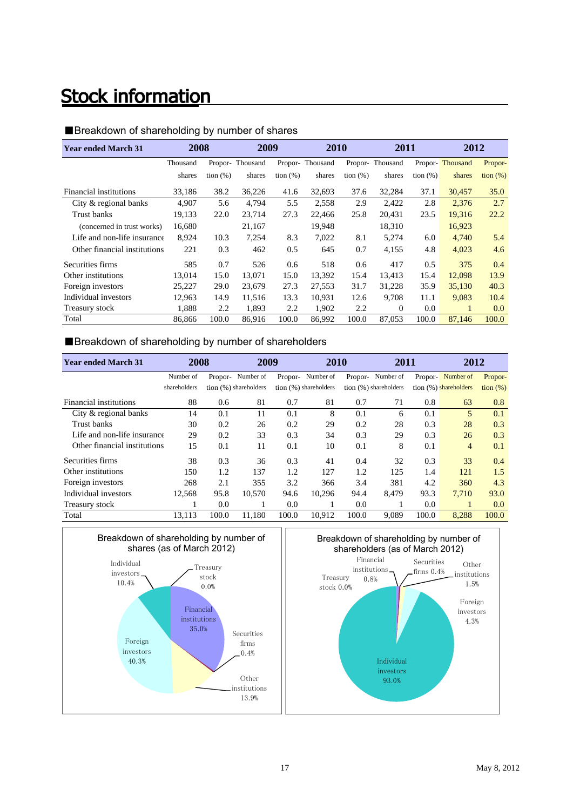## **Stock information**

#### ■Breakdown of shareholding by number of shares

| <b>Year ended March 31</b>   | 2008     |             | 2009            |             | 2010            |             | 2011     |             | 2012            |                                      |
|------------------------------|----------|-------------|-----------------|-------------|-----------------|-------------|----------|-------------|-----------------|--------------------------------------|
|                              | Thousand |             | Propor-Thousand |             | Propor-Thousand | Propor-     | Thousand |             | Propor-Thousand | Propor-                              |
|                              | shares   | $\tan(\% )$ | shares          | tion $(\%)$ | shares          | tion $(\%)$ | shares   | tion $(\%)$ | shares          | $\frac{\text{tion } (\%)}{\text{d}}$ |
| Financial institutions       | 33,186   | 38.2        | 36,226          | 41.6        | 32,693          | 37.6        | 32,284   | 37.1        | 30,457          | 35.0                                 |
| City & regional banks        | 4,907    | 5.6         | 4,794           | 5.5         | 2,558           | 2.9         | 2,422    | 2.8         | 2,376           | 2.7                                  |
| Trust banks                  | 19,133   | 22.0        | 23.714          | 27.3        | 22,466          | 25.8        | 20,431   | 23.5        | 19,316          | 22.2                                 |
| (concerned in trust works)   | 16,680   |             | 21,167          |             | 19,948          |             | 18,310   |             | 16,923          |                                      |
| Life and non-life insurance  | 8,924    | 10.3        | 7,254           | 8.3         | 7,022           | 8.1         | 5,274    | 6.0         | 4,740           | 5.4                                  |
| Other financial institutions | 221      | 0.3         | 462             | 0.5         | 645             | 0.7         | 4,155    | 4.8         | 4,023           | 4.6                                  |
| Securities firms             | 585      | 0.7         | 526             | 0.6         | 518             | 0.6         | 417      | 0.5         | 375             | 0.4                                  |
| Other institutions           | 13.014   | 15.0        | 13.071          | 15.0        | 13.392          | 15.4        | 13.413   | 15.4        | 12,098          | 13.9                                 |
| Foreign investors            | 25,227   | 29.0        | 23,679          | 27.3        | 27,553          | 31.7        | 31,228   | 35.9        | 35,130          | 40.3                                 |
| Individual investors         | 12,963   | 14.9        | 11,516          | 13.3        | 10,931          | 12.6        | 9,708    | 11.1        | 9,083           | 10.4                                 |
| Treasury stock               | 1,888    | 2.2         | 1,893           | 2.2         | 1,902           | 2.2         | $\Omega$ | 0.0         | 1               | 0.0                                  |
| Total                        | 86,866   | 100.0       | 86,916          | 100.0       | 86,992          | 100.0       | 87,053   | 100.0       | 87,146          | 100.0                                |

### ■Breakdown of shareholding by number of shareholders

| <b>Year ended March 31</b>   | 2008         |         | 2009                  |         | 2010                  |         | 2011                  |         | 2012                  |                   |
|------------------------------|--------------|---------|-----------------------|---------|-----------------------|---------|-----------------------|---------|-----------------------|-------------------|
|                              | Number of    | Propor- | Number of             | Propor- | Number of             | Propor- | Number of             | Propor- | Number of             | Propor-           |
|                              | shareholders |         | tion (%) shareholders |         | tion (%) shareholders |         | tion (%) shareholders |         | tion (%) shareholders | $\frac{1}{2}$ (%) |
| Financial institutions       | 88           | 0.6     | 81                    | 0.7     | 81                    | 0.7     | 71                    | 0.8     | 63                    | 0.8               |
| City & regional banks        | 14           | 0.1     | 11                    | 0.1     | 8                     | 0.1     | 6                     | 0.1     | 5                     | 0.1               |
| Trust banks                  | 30           | 0.2     | 26                    | 0.2     | 29                    | 0.2     | 28                    | 0.3     | 28                    | 0.3               |
| Life and non-life insurance  | 29           | 0.2     | 33                    | 0.3     | 34                    | 0.3     | 29                    | 0.3     | 26                    | 0.3               |
| Other financial institutions | 15           | 0.1     | 11                    | 0.1     | 10                    | 0.1     | 8                     | 0.1     | 4                     | 0.1               |
| Securities firms             | 38           | 0.3     | 36                    | 0.3     | 41                    | 0.4     | 32                    | 0.3     | 33                    | 0.4               |
| Other institutions           | 150          | 1.2     | 137                   | 1.2     | 127                   | 1.2     | 125                   | 1.4     | 121                   | 1.5               |
| Foreign investors            | 268          | 2.1     | 355                   | 3.2     | 366                   | 3.4     | 381                   | 4.2     | 360                   | 4.3               |
| Individual investors         | 12,568       | 95.8    | 10.570                | 94.6    | 10.296                | 94.4    | 8.479                 | 93.3    | 7.710                 | 93.0              |
| Treasury stock               |              | 0.0     |                       | 0.0     |                       | 0.0     |                       | 0.0     |                       | 0.0               |
| Total                        | 13,113       | 100.0   | 11.180                | 100.0   | 10,912                | 100.0   | 9,089                 | 100.0   | 8,288                 | 100.0             |



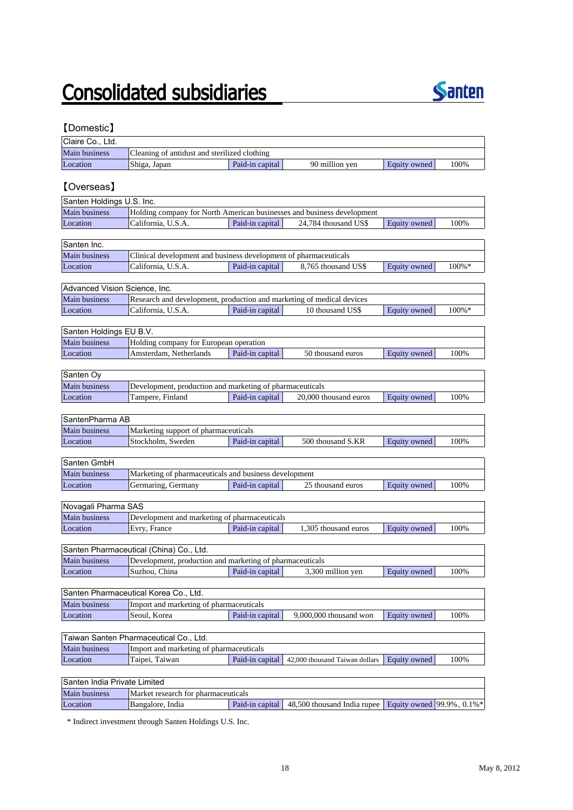# **Consolidated subsidiaries**



### 【Domestic】

| Claire Co., Ltd.              |                                                                             |                 |                                |                               |       |
|-------------------------------|-----------------------------------------------------------------------------|-----------------|--------------------------------|-------------------------------|-------|
| Main business                 | Cleaning of antidust and sterilized clothing                                |                 |                                |                               |       |
| Location                      | Shiga, Japan                                                                | Paid-in capital | 90 million yen                 | Equity owned                  | 100%  |
|                               |                                                                             |                 |                                |                               |       |
| [Overseas]                    |                                                                             |                 |                                |                               |       |
| Santen Holdings U.S. Inc.     |                                                                             |                 |                                |                               |       |
| Main business                 | Holding company for North American businesses and business development      |                 |                                |                               |       |
| Location                      | California, U.S.A.                                                          | Paid-in capital | 24,784 thousand US\$           | Equity owned                  | 100%  |
|                               |                                                                             |                 |                                |                               |       |
| Santen Inc.                   |                                                                             |                 |                                |                               |       |
| Main business                 | Clinical development and business development of pharmaceuticals            |                 |                                |                               |       |
| Location                      | California, U.S.A.                                                          | Paid-in capital | 8,765 thousand US\$            | Equity owned                  | 100%* |
| Advanced Vision Science, Inc. |                                                                             |                 |                                |                               |       |
| Main business                 | Research and development, production and marketing of medical devices       |                 |                                |                               |       |
| Location                      | California, U.S.A.                                                          | Paid-in capital | 10 thousand US\$               | Equity owned                  | 100%* |
|                               |                                                                             |                 |                                |                               |       |
| Santen Holdings EU B.V.       |                                                                             |                 |                                |                               |       |
| Main business                 | Holding company for European operation                                      |                 |                                |                               |       |
| Location                      | Amsterdam, Netherlands                                                      | Paid-in capital | 50 thousand euros              | Equity owned                  | 100%  |
|                               |                                                                             |                 |                                |                               |       |
| Santen Oy                     |                                                                             |                 |                                |                               |       |
| Main business                 | Development, production and marketing of pharmaceuticals                    |                 |                                |                               |       |
| Location                      | Tampere, Finland                                                            | Paid-in capital | 20,000 thousand euros          | <b>Equity owned</b>           | 100%  |
|                               |                                                                             |                 |                                |                               |       |
| SantenPharma AB               |                                                                             |                 |                                |                               |       |
| Main business                 | Marketing support of pharmaceuticals                                        |                 |                                |                               |       |
| Location                      | Stockholm, Sweden                                                           | Paid-in capital | 500 thousand S.KR              | Equity owned                  | 100%  |
|                               |                                                                             |                 |                                |                               |       |
| Santen GmbH                   |                                                                             |                 |                                |                               |       |
| Main business                 | Marketing of pharmaceuticals and business development<br>Germaring, Germany | Paid-in capital | 25 thousand euros              |                               |       |
| Location                      |                                                                             |                 |                                | Equity owned                  | 100%  |
| Novagali Pharma SAS           |                                                                             |                 |                                |                               |       |
| Main business                 | Development and marketing of pharmaceuticals                                |                 |                                |                               |       |
| Location                      | Evry, France                                                                | Paid-in capital | 1,305 thousand euros           | Equity owned                  | 100%  |
|                               |                                                                             |                 |                                |                               |       |
|                               | Santen Pharmaceutical (China) Co., Ltd.                                     |                 |                                |                               |       |
| Main business                 | Development, production and marketing of pharmaceuticals                    |                 |                                |                               |       |
| Location                      | Suzhou, China                                                               | Paid-in capital | 3,300 million yen              | Equity owned                  | 100%  |
|                               |                                                                             |                 |                                |                               |       |
|                               | Santen Pharmaceutical Korea Co., Ltd.                                       |                 |                                |                               |       |
| Main business                 | Import and marketing of pharmaceuticals                                     |                 |                                |                               |       |
| Location                      | Seoul, Korea                                                                | Paid-in capital | $9,000,000$ thousand won       | Equity owned                  | 100%  |
|                               |                                                                             |                 |                                |                               |       |
|                               | Taiwan Santen Pharmaceutical Co., Ltd.                                      |                 |                                |                               |       |
| Main business                 | Import and marketing of pharmaceuticals                                     |                 |                                |                               |       |
| Location                      | Taipei, Taiwan                                                              | Paid-in capital | 42,000 thousand Taiwan dollars | Equity owned                  | 100%  |
|                               |                                                                             |                 |                                |                               |       |
| Santen India Private Limited  |                                                                             |                 |                                |                               |       |
| Main business                 | Market research for pharmaceuticals                                         |                 |                                |                               |       |
| Location                      | Bangalore, India                                                            | Paid-in capital | 48,500 thousand India rupee    | Equity owned $99.9\%$ , 0.1%* |       |

\* Indirect investment through Santen Holdings U.S. Inc.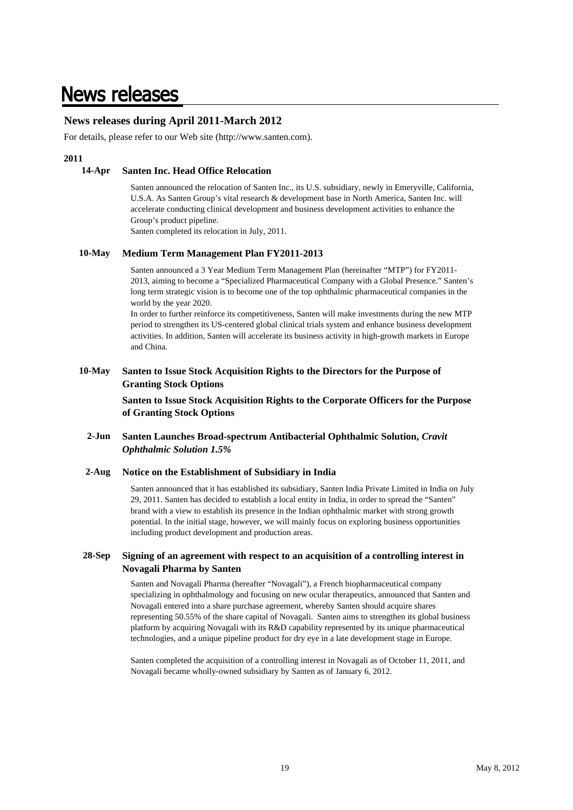### **News releases**

### **News releases during April 2011-March 2012**

For details, please refer to our Web site (http://www.santen.com).

#### **2011**

#### **14-Apr Santen Inc. Head Office Relocation**

Santen announced the relocation of Santen Inc., its U.S. subsidiary, newly in Emeryville, California, U.S.A. As Santen Group's vital research & development base in North America, Santen Inc. will accelerate conducting clinical development and business development activities to enhance the Group's product pipeline.

Santen completed its relocation in July, 2011.

#### **10-May Medium Term Management Plan FY2011-2013**

Santen announced a 3 Year Medium Term Management Plan (hereinafter "MTP") for FY2011- 2013, aiming to become a "Specialized Pharmaceutical Company with a Global Presence." Santen's long term strategic vision is to become one of the top ophthalmic pharmaceutical companies in the world by the year 2020.

In order to further reinforce its competitiveness, Santen will make investments during the new MTP period to strengthen its US-centered global clinical trials system and enhance business development activities. In addition, Santen will accelerate its business activity in high-growth markets in Europe and China.

#### **10-May Santen to Issue Stock Acquisition Rights to the Directors for the Purpose of Granting Stock Options**

**Santen to Issue Stock Acquisition Rights to the Corporate Officers for the Purpose of Granting Stock Options**

#### **2-Jun Santen Launches Broad-spectrum Antibacterial Ophthalmic Solution,** *Cravit Ophthalmic Solution 1.5%*

#### **2-Aug Notice on the Establishment of Subsidiary in India**

Santen announced that it has established its subsidiary, Santen India Private Limited in India on July 29, 2011. Santen has decided to establish a local entity in India, in order to spread the "Santen" brand with a view to establish its presence in the Indian ophthalmic market with strong growth potential. In the initial stage, however, we will mainly focus on exploring business opportunities including product development and production areas.

#### **28-Sep Signing of an agreement with respect to an acquisition of a controlling interest in Novagali Pharma by Santen**

Santen and Novagali Pharma (hereafter "Novagali"), a French biopharmaceutical company specializing in ophthalmology and focusing on new ocular therapeutics, announced that Santen and Novagali entered into a share purchase agreement, whereby Santen should acquire shares representing 50.55% of the share capital of Novagali. Santen aims to strengthen its global business platform by acquiring Novagali with its R&D capability represented by its unique pharmaceutical technologies, and a unique pipeline product for dry eye in a late development stage in Europe.

Santen completed the acquisition of a controlling interest in Novagali as of October 11, 2011, and Novagali became wholly-owned subsidiary by Santen as of January 6, 2012.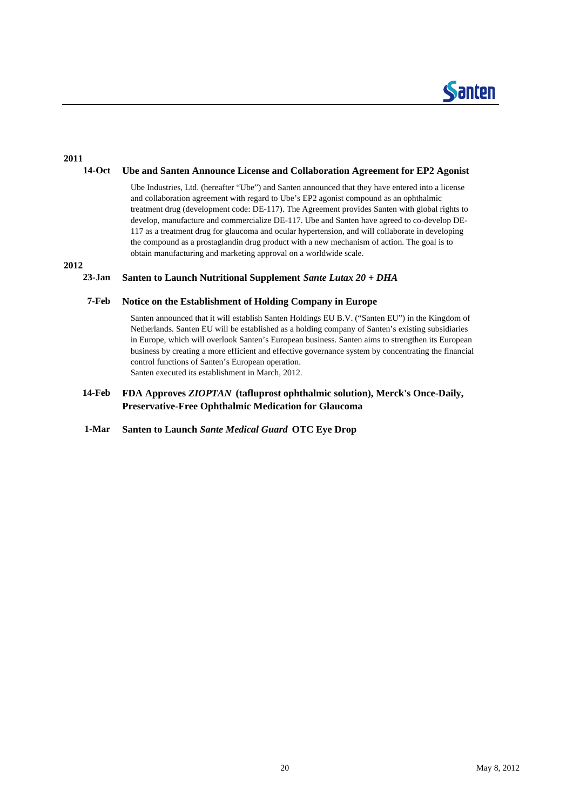

### **2011**

#### **14-Oct Ube and Santen Announce License and Collaboration Agreement for EP2 Agonist**

Ube Industries, Ltd. (hereafter "Ube") and Santen announced that they have entered into a license and collaboration agreement with regard to Ube's EP2 agonist compound as an ophthalmic treatment drug (development code: DE-117). The Agreement provides Santen with global rights to develop, manufacture and commercialize DE-117. Ube and Santen have agreed to co-develop DE-117 as a treatment drug for glaucoma and ocular hypertension, and will collaborate in developing the compound as a prostaglandin drug product with a new mechanism of action. The goal is to obtain manufacturing and marketing approval on a worldwide scale.

**2012**

#### **23-Jan Santen to Launch Nutritional Supplement** *Sante Lutax 20 + DHA*

#### **7-Feb Notice on the Establishment of Holding Company in Europe**

Santen announced that it will establish Santen Holdings EU B.V. ("Santen EU") in the Kingdom of Netherlands. Santen EU will be established as a holding company of Santen's existing subsidiaries in Europe, which will overlook Santen's European business. Santen aims to strengthen its European business by creating a more efficient and effective governance system by concentrating the financial control functions of Santen's European operation. Santen executed its establishment in March, 2012.

#### **14-Feb FDA Approves** *ZIOPTAN* **(tafluprost ophthalmic solution), Merck's Once-Daily, Preservative-Free Ophthalmic Medication for Glaucoma**

#### **1-Mar Santen to Launch** *Sante Medical Guard* **OTC Eye Drop**